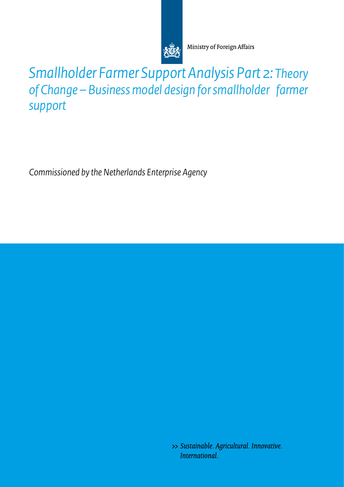

Ministry of Foreign Affairs

*Smallholder Farmer Support Analysis Part 2: Theory of Change – Business model design for smallholder farmer support*

*Commissioned by the Netherlands Enterprise Agency* 

>> Sustainable. Agricultural. Innovative. International.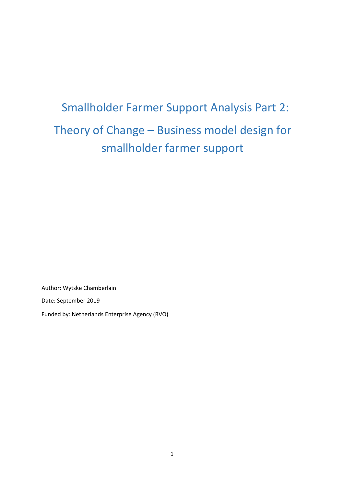# Smallholder Farmer Support Analysis Part 2: Theory of Change – Business model design for smallholder farmer support

Author: Wytske Chamberlain

Date: September 2019

Funded by: Netherlands Enterprise Agency (RVO)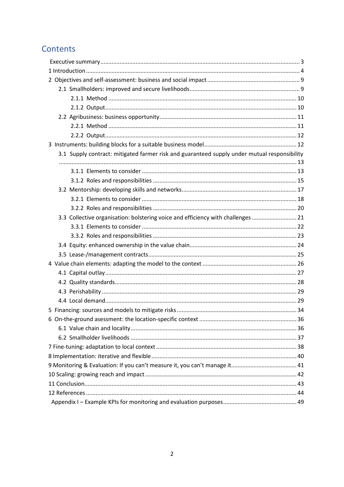## Contents

| 3.1 Supply contract: mitigated farmer risk and guaranteed supply under mutual responsibility |  |
|----------------------------------------------------------------------------------------------|--|
|                                                                                              |  |
|                                                                                              |  |
|                                                                                              |  |
|                                                                                              |  |
|                                                                                              |  |
|                                                                                              |  |
| 3.3 Collective organisation: bolstering voice and efficiency with challenges  21             |  |
|                                                                                              |  |
|                                                                                              |  |
|                                                                                              |  |
|                                                                                              |  |
|                                                                                              |  |
|                                                                                              |  |
|                                                                                              |  |
|                                                                                              |  |
|                                                                                              |  |
|                                                                                              |  |
|                                                                                              |  |
|                                                                                              |  |
|                                                                                              |  |
|                                                                                              |  |
|                                                                                              |  |
|                                                                                              |  |
|                                                                                              |  |
|                                                                                              |  |
|                                                                                              |  |
|                                                                                              |  |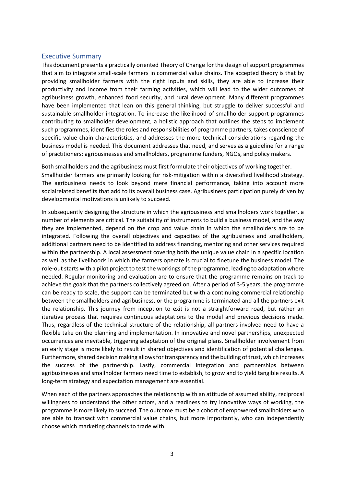#### <span id="page-3-0"></span>Executive Summary

This document presents a practically oriented Theory of Change for the design of support programmes that aim to integrate small-scale farmers in commercial value chains. The accepted theory is that by providing smallholder farmers with the right inputs and skills, they are able to increase their productivity and income from their farming activities, which will lead to the wider outcomes of agribusiness growth, enhanced food security, and rural development. Many different programmes have been implemented that lean on this general thinking, but struggle to deliver successful and sustainable smallholder integration. To increase the likelihood of smallholder support programmes contributing to smallholder development, a holistic approach that outlines the steps to implement such programmes, identifies the roles and responsibilities of programme partners, takes conscience of specific value chain characteristics, and addresses the more technical considerations regarding the business model is needed. This document addresses that need, and serves as a guideline for a range of practitioners: agribusinesses and smallholders, programme funders, NGOs, and policy makers.

Both smallholders and the agribusiness must first formulate their objectives of working together. Smallholder farmers are primarily looking for risk-mitigation within a diversified livelihood strategy. The agribusiness needs to look beyond mere financial performance, taking into account more socialrelated benefits that add to its overall business case. Agribusiness participation purely driven by developmental motivations is unlikely to succeed.

In subsequently designing the structure in which the agribusiness and smallholders work together, a number of elements are critical. The suitability of instruments to build a business model, and the way they are implemented, depend on the crop and value chain in which the smallholders are to be integrated. Following the overall objectives and capacities of the agribusiness and smallholders, additional partners need to be identified to address financing, mentoring and other services required within the partnership. A local assessment covering both the unique value chain in a specific location as well as the livelihoods in which the farmers operate is crucial to finetune the business model. The role-out starts with a pilot project to test the workings of the programme, leading to adaptation where needed. Regular monitoring and evaluation are to ensure that the programme remains on track to achieve the goals that the partners collectively agreed on. After a period of 3-5 years, the programme can be ready to scale, the support can be terminated but with a continuing commercial relationship between the smallholders and agribusiness, or the programme is terminated and all the partners exit the relationship. This journey from inception to exit is not a straightforward road, but rather an iterative process that requires continuous adaptations to the model and previous decisions made. Thus, regardless of the technical structure of the relationship, all partners involved need to have a flexible take on the planning and implementation. In innovative and novel partnerships, unexpected occurrences are inevitable, triggering adaptation of the original plans. Smallholder involvement from an early stage is more likely to result in shared objectives and identification of potential challenges. Furthermore, shared decision making allows for transparency and the building of trust, which increases the success of the partnership. Lastly, commercial integration and partnerships between agribusinesses and smallholder farmers need time to establish, to grow and to yield tangible results. A long-term strategy and expectation management are essential.

When each of the partners approaches the relationship with an attitude of assumed ability, reciprocal willingness to understand the other actors, and a readiness to try innovative ways of working, the programme is more likely to succeed. The outcome must be a cohort of empowered smallholders who are able to transact with commercial value chains, but more importantly, who can independently choose which marketing channels to trade with.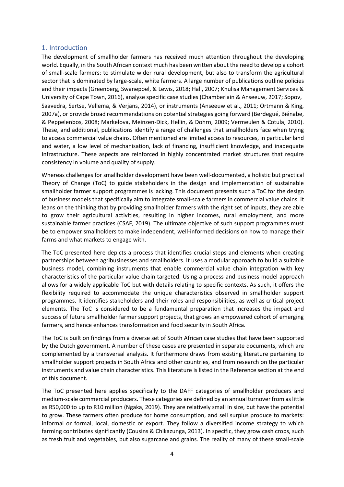#### <span id="page-4-0"></span>1. Introduction

The development of smallholder farmers has received much attention throughout the developing world. Equally, in the South African context much has been written about the need to develop a cohort of small-scale farmers: to stimulate wider rural development, but also to transform the agricultural sector that is dominated by large-scale, white farmers. A large number of publications outline policies and their impacts (Greenberg, Swanepoel, & Lewis, 2018; Hall, 2007; Khulisa Management Services & University of Cape Town, 2016), analyse specific case studies (Chamberlain & Anseeuw, 2017; Sopov, Saavedra, Sertse, Vellema, & Verjans, 2014), or instruments (Anseeuw et al., 2011; Ortmann & King, 2007a), or provide broad recommendations on potential strategies going forward (Berdegué, Biénabe, & Peppelenbos, 2008; Markelova, Meinzen-Dick, Hellin, & Dohrn, 2009; Vermeulen & Cotula, 2010). These, and additional, publications identify a range of challenges that smallholders face when trying to access commercial value chains. Often mentioned are limited access to resources, in particular land and water, a low level of mechanisation, lack of financing, insufficient knowledge, and inadequate infrastructure. These aspects are reinforced in highly concentrated market structures that require consistency in volume and quality of supply.

Whereas challenges for smallholder development have been well-documented, a holistic but practical Theory of Change (ToC) to guide stakeholders in the design and implementation of sustainable smallholder farmer support programmes is lacking. This document presents such a ToC for the design of business models that specifically aim to integrate small-scale farmers in commercial value chains. It leans on the thinking that by providing smallholder farmers with the right set of inputs, they are able to grow their agricultural activities, resulting in higher incomes, rural employment, and more sustainable farmer practices (CSAF, 2019). The ultimate objective of such support programmes must be to empower smallholders to make independent, well-informed decisions on how to manage their farms and what markets to engage with.

The ToC presented here depicts a process that identifies crucial steps and elements when creating partnerships between agribusinesses and smallholders. It uses a modular approach to build a suitable business model, combining instruments that enable commercial value chain integration with key characteristics of the particular value chain targeted. Using a process and business model approach allows for a widely applicable ToC but with details relating to specific contexts. As such, it offers the flexibility required to accommodate the unique characteristics observed in smallholder support programmes. It identifies stakeholders and their roles and responsibilities, as well as critical project elements. The ToC is considered to be a fundamental preparation that increases the impact and success of future smallholder farmer support projects, that grows an empowered cohort of emerging farmers, and hence enhances transformation and food security in South Africa.

The ToC is built on findings from a diverse set of South African case studies that have been supported by the Dutch government. A number of these cases are presented in separate documents, which are complemented by a transversal analysis. It furthermore draws from existing literature pertaining to smallholder support projects in South Africa and other countries, and from research on the particular instruments and value chain characteristics. This literature is listed in the Reference section at the end of this document.

The ToC presented here applies specifically to the DAFF categories of smallholder producers and medium-scale commercial producers. These categories are defined by an annual turnover from as little as R50,000 to up to R10 million (Ngaka, 2019). They are relatively small in size, but have the potential to grow. These farmers often produce for home consumption, and sell surplus produce to markets: informal or formal, local, domestic or export. They follow a diversified income strategy to which farming contributes significantly (Cousins & Chikazunga, 2013). In specific, they grow cash crops, such as fresh fruit and vegetables, but also sugarcane and grains. The reality of many of these small-scale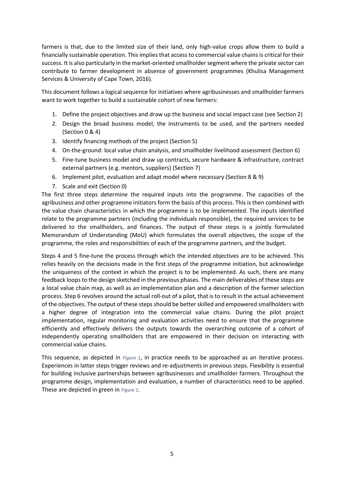farmers is that, due to the limited size of their land, only high-value crops allow them to build a financially sustainable operation. This implies that access to commercial value chains is critical for their success. It is also particularly in the market-oriented smallholder segment where the private sector can contribute to farmer development in absence of government programmes (Khulisa Management Services & University of Cape Town, 2016).

This document follows a logical sequence for initiatives where agribusinesses and smallholder farmers want to work together to build a sustainable cohort of new farmers:

- 1. Define the project objectives and draw up the business and social impact case (see Section 2)
- 2. Design the broad business model, the instruments to be used, and the partners needed (Section 0 & 4)
- 3. Identify financing methods of the project (Section 5)
- 4. On-the-ground: local value chain analysis, and smallholder livelihood assessment (Section 6)
- 5. Fine-tune business model and draw up contracts, secure hardware & infrastructure, contract external partners (e.g. mentors, suppliers) (Section 7)
- 6. Implement pilot, evaluation and adapt model where necessary (Section 8 & 9)
- 7. Scale and exit (Section 0)

The first three steps determine the required inputs into the programme. The capacities of the agribusiness and other programme initiators form the basis of this process. This is then combined with the value chain characteristics in which the programme is to be implemented. The inputs identified relate to the programme partners (including the individuals responsible), the required services to be delivered to the smallholders, and finances. The output of these steps is a jointly formulated Memorandum of Understanding (MoU) which formulates the overall objectives, the scope of the programme, the roles and responsibilities of each of the programme partners, and the budget.

Steps 4 and 5 fine-tune the process through which the intended objectives are to be achieved. This relies heavily on the decisions made in the first steps of the programme initiation, but acknowledge the uniqueness of the context in which the project is to be implemented. As such, there are many feedback loops to the design sketched in the previous phases. The main deliverables of these steps are a local value chain map, as well as an implementation plan and a description of the farmer selection process. Step 6 revolves around the actual roll-out of a pilot, that is to result in the actual achievement of the objectives. The output of these steps should be better skilled and empowered smallholders with a higher degree of integration into the commercial value chains. During the pilot project implementation, regular monitoring and evaluation activities need to ensure that the programme efficiently and effectively delivers the outputs towards the overarching outcome of a cohort of independently operating smallholders that are empowered in their decision on interacting with commercial value chains.

This sequence, as depicted in *Figure 1*, in practice needs to be approached as an iterative process. Experiences in latter steps trigger reviews and re-adjustments in previous steps. Flexibility is essential for building inclusive partnerships between agribusinesses and smallholder farmers. Throughout the programme design, implementation and evaluation, a number of characteristics need to be applied. These are depicted in green in *Figure 1*.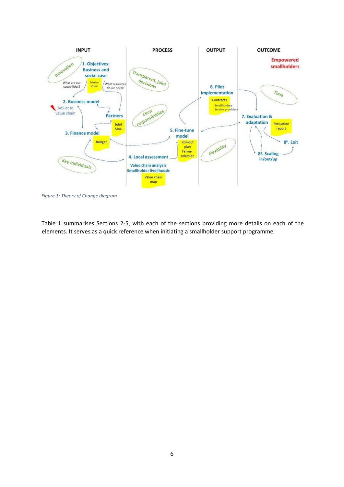

*Figure 1: Theory of Change diagram* 

Table 1 summarises Sections 2-5, with each of the sections providing more details on each of the elements. It serves as a quick reference when initiating a smallholder support programme.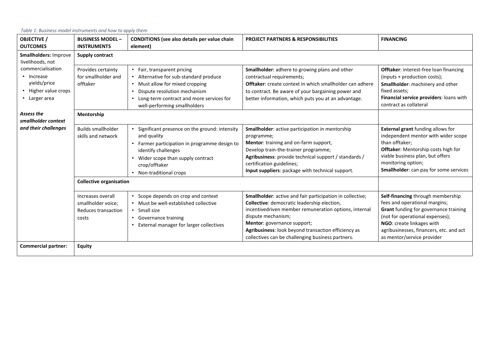| Table 1: Business model instruments and how to apply them |                                                                         |                                                                                                                                                                                                                      |                                                                                                                                                                                                                                                                                                                                    |                                                                                                                                                                                                                                                      |  |  |  |  |
|-----------------------------------------------------------|-------------------------------------------------------------------------|----------------------------------------------------------------------------------------------------------------------------------------------------------------------------------------------------------------------|------------------------------------------------------------------------------------------------------------------------------------------------------------------------------------------------------------------------------------------------------------------------------------------------------------------------------------|------------------------------------------------------------------------------------------------------------------------------------------------------------------------------------------------------------------------------------------------------|--|--|--|--|
| <b>OBJECTIVE /</b><br><b>OUTCOMES</b>                     | <b>BUSINESS MODEL -</b><br><b>INSTRUMENTS</b>                           | CONDITIONS (see also details per value chain<br>element)                                                                                                                                                             | <b>PROJECT PARTNERS &amp; RESPONSIBILITIES</b>                                                                                                                                                                                                                                                                                     | <b>FINANCING</b>                                                                                                                                                                                                                                     |  |  |  |  |
| Smallholders: Improve<br>livelihoods, not                 | <b>Supply contract</b>                                                  |                                                                                                                                                                                                                      |                                                                                                                                                                                                                                                                                                                                    |                                                                                                                                                                                                                                                      |  |  |  |  |
| commercialisation<br>• Increase<br>yields/price           | Provides certainty<br>for smallholder and<br>offtaker                   | • Fair, transparent pricing<br>• Alternative for sub-standard produce<br>• Must allow for mixed cropping                                                                                                             | Smallholder: adhere to growing plans and other<br>contractual requirements;<br>Offtaker: create context in which smallholder can adhere                                                                                                                                                                                            | Offtaker: interest-free loan financing<br>(inputs + production costs);<br>Smallholder: machinery and other                                                                                                                                           |  |  |  |  |
| • Higher value crops<br>• Larger area                     |                                                                         | Dispute resolution mechanism<br>• Long-term contract and more services for<br>well-performing smallholders                                                                                                           | to contract. Be aware of your bargaining power and<br>better information, which puts you at an advantage.                                                                                                                                                                                                                          | fixed assets;<br>Financial service providers: loans with<br>contract as collateral                                                                                                                                                                   |  |  |  |  |
| Assess the<br>smallholder context                         | Mentorship                                                              |                                                                                                                                                                                                                      |                                                                                                                                                                                                                                                                                                                                    |                                                                                                                                                                                                                                                      |  |  |  |  |
| and their challenges                                      | <b>Builds smallholder</b><br>skills and network                         | Significant presence on the ground: intensity<br>and quality<br>• Farmer participation in programme design to<br>identify challenges<br>Wider scope than supply contract<br>crop/offtaker<br>• Non-traditional crops | Smallholder: active participation in mentorship<br>programme;<br>Mentor: training and on-farm support,<br>Develop train-the-trainer programme;<br>Agribusiness: provide technical support / standards /<br>certification guidelines;<br>Input suppliers: package with technical support.                                           | <b>External grant</b> funding allows for<br>independent mentor with wider scope<br>than offtaker;<br>Offtaker: Mentorship costs high for<br>viable business plan, but offers<br>monitoring option;<br><b>Smallholder:</b> can pay for some services  |  |  |  |  |
|                                                           | <b>Collective organisation</b>                                          |                                                                                                                                                                                                                      |                                                                                                                                                                                                                                                                                                                                    |                                                                                                                                                                                                                                                      |  |  |  |  |
|                                                           | Increases overall<br>smallholder voice;<br>Reduces transaction<br>costs | • Scope depends on crop and context<br>. Must be well-established collective<br>• Small size<br>• Governance training<br>• External manager for larger collectives                                                   | Smallholder: active and fair participation in collective;<br>Collective: democratic leadership election,<br>incentivedriven member remuneration options, internal<br>dispute mechanism;<br>Mentor: governance support;<br>Agribusiness: look beyond transaction efficiency as<br>collectives can be challenging business partners. | Self-financing through membership<br>fees and operational margins;<br>Grant funding for governance training<br>(not for operational expenses);<br>NGO: create linkages with<br>agribusinesses, financers, etc. and act<br>as mentor/service provider |  |  |  |  |
| <b>Commercial partner:</b>                                | <b>Equity</b>                                                           |                                                                                                                                                                                                                      |                                                                                                                                                                                                                                                                                                                                    |                                                                                                                                                                                                                                                      |  |  |  |  |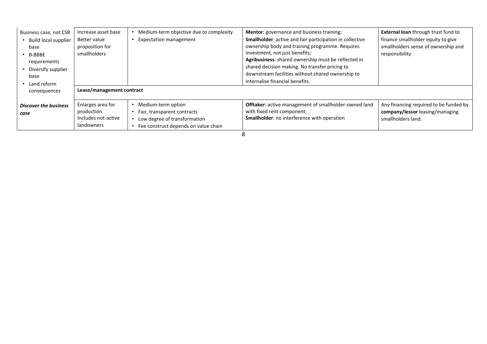| Business case, not CSR<br>• Build local supplier<br>base<br>$\cdot$ B-BBBE<br>requirements<br>• Diversify supplier<br>base<br>• Land reform | Increase asset base<br>Better value<br>proposition for<br>smallholders<br>Lease/management contract | Medium-term objective due to complexity<br><b>Expectation management</b>                                                  | Mentor: governance and business training;<br>Smallholder: active and fair participation in collective<br>ownership body and training programme. Requires<br>investment, not just benefits;<br>Agribusiness: shared ownership must be reflected in<br>shared decision making. No transfer pricing to<br>downstream facilities without shared ownership to<br>internalise financial benefits. | External loan through trust fund to<br>finance smallholder equity to give<br>smallholders sense of ownership and<br>responsibility |
|---------------------------------------------------------------------------------------------------------------------------------------------|-----------------------------------------------------------------------------------------------------|---------------------------------------------------------------------------------------------------------------------------|---------------------------------------------------------------------------------------------------------------------------------------------------------------------------------------------------------------------------------------------------------------------------------------------------------------------------------------------------------------------------------------------|------------------------------------------------------------------------------------------------------------------------------------|
| consequences<br><b>Discover the business</b><br>case                                                                                        | Enlarges area for<br>production<br>Includes not-active<br>landowners                                | Medium-term option<br>Fair, transparent contracts<br>Low degree of transformation<br>Fee construct depends on value chain | Offtaker: active management of smallholder-owned land<br>with fixed rent component;<br>Smallholder: no interference with operation                                                                                                                                                                                                                                                          | Any financing required to be funded by<br>company/lessor leasing/managing<br>smallholders land.                                    |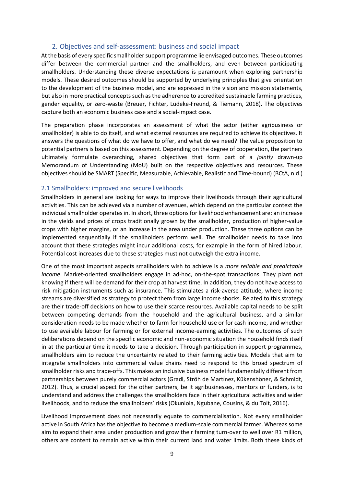#### 2. Objectives and self-assessment: business and social impact

<span id="page-9-0"></span>At the basis of every specific smallholder support programme lie envisaged outcomes. These outcomes differ between the commercial partner and the smallholders, and even between participating smallholders. Understanding these diverse expectations is paramount when exploring partnership models. These desired outcomes should be supported by underlying principles that give orientation to the development of the business model, and are expressed in the vision and mission statements, but also in more practical concepts such as the adherence to accredited sustainable farming practices, gender equality, or zero-waste (Breuer, Fichter, Lüdeke-Freund, & Tiemann, 2018). The objectives capture both an economic business case and a social-impact case.

The preparation phase incorporates an assessment of what the actor (either agribusiness or smallholder) is able to do itself, and what external resources are required to achieve its objectives. It answers the questions of what do we have to offer, and what do we need? The value proposition to potential partners is based on this assessment. Depending on the degree of cooperation, the partners ultimately formulate overarching, shared objectives that form part of a *jointly* drawn-up Memorandum of Understanding (MoU) built on the respective objectives and resources. These objectives should be SMART (Specific, Measurable, Achievable, Realistic and Time-bound) (BCtA, n.d.)

#### <span id="page-9-1"></span>2.1 Smallholders: improved and secure livelihoods

Smallholders in general are looking for ways to improve their livelihoods through their agricultural activities. This can be achieved via a number of avenues, which depend on the particular context the individual smallholder operates in. In short, three options for livelihood enhancement are: an increase in the yields and prices of crops traditionally grown by the smallholder, production of higher-value crops with higher margins, or an increase in the area under production. These three options can be implemented sequentially if the smallholders perform well. The smallholder needs to take into account that these strategies might incur additional costs, for example in the form of hired labour. Potential cost increases due to these strategies must not outweigh the extra income.

One of the most important aspects smallholders wish to achieve is a *more reliable and predictable income*. Market-oriented smallholders engage in ad-hoc, on-the-spot transactions. They plant not knowing if there will be demand for their crop at harvest time. In addition, they do not have access to risk mitigation instruments such as insurance. This stimulates a risk-averse attitude, where income streams are diversified as strategy to protect them from large income shocks. Related to this strategy are their trade-off decisions on how to use their scarce resources. Available capital needs to be split between competing demands from the household and the agricultural business, and a similar consideration needs to be made whether to farm for household use or for cash income, and whether to use available labour for farming or for external income-earning activities. The outcomes of such deliberations depend on the specific economic and non-economic situation the household finds itself in at the particular time it needs to take a decision. Through participation in support programmes, smallholders aim to reduce the uncertainty related to their farming activities. Models that aim to integrate smallholders into commercial value chains need to respond to this broad spectrum of smallholder risks and trade-offs. This makes an inclusive business model fundamentally different from partnerships between purely commercial actors (Gradl, Ströh de Martínez, Kükenshöner, & Schmidt, 2012). Thus, a crucial aspect for the other partners, be it agribusinesses, mentors or funders, is to understand and address the challenges the smallholders face in their agricultural activities and wider livelihoods, and to reduce the smallholders' risks (Okunlola, Ngubane, Cousins, & du Toit, 2016).

Livelihood improvement does not necessarily equate to commercialisation. Not every smallholder active in South Africa has the objective to become a medium-scale commercial farmer. Whereas some aim to expand their area under production and grow their farming turn-over to well over R1 million, others are content to remain active within their current land and water limits. Both these kinds of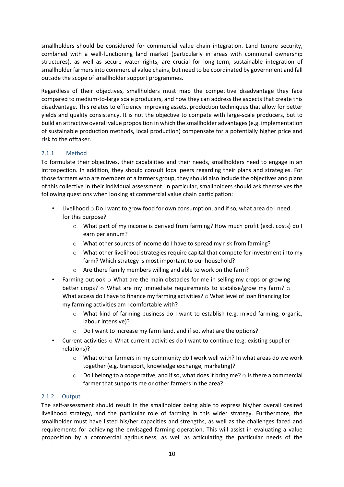smallholders should be considered for commercial value chain integration. Land tenure security, combined with a well-functioning land market (particularly in areas with communal ownership structures), as well as secure water rights, are crucial for long-term, sustainable integration of smallholder farmers into commercial value chains, but need to be coordinated by government and fall outside the scope of smallholder support programmes.

Regardless of their objectives, smallholders must map the competitive disadvantage they face compared to medium-to-large scale producers, and how they can address the aspects that create this disadvantage. This relates to efficiency improving assets, production techniques that allow for better yields and quality consistency. It is not the objective to compete with large-scale producers, but to build an attractive overall value proposition in which the smallholder advantages (e.g. implementation of sustainable production methods, local production) compensate for a potentially higher price and risk to the offtaker.

## <span id="page-10-0"></span>2.1.1 Method

To formulate their objectives, their capabilities and their needs, smallholders need to engage in an introspection. In addition, they should consult local peers regarding their plans and strategies. For those farmers who are members of a farmers group, they should also include the objectives and plans of this collective in their individual assessment. In particular, smallholders should ask themselves the following questions when looking at commercial value chain participation:

- Livelihood  $\circ$  Do I want to grow food for own consumption, and if so, what area do I need for this purpose?
	- o What part of my income is derived from farming? How much profit (excl. costs) do I earn per annum?
	- o What other sources of income do I have to spread my risk from farming?
	- o What other livelihood strategies require capital that compete for investment into my farm? Which strategy is most important to our household?
	- o Are there family members willing and able to work on the farm?
- Farming outlook  $\circ$  What are the main obstacles for me in selling my crops or growing better crops?  $\circ$  What are my immediate requirements to stabilise/grow my farm?  $\circ$ What access do I have to finance my farming activities? o What level of loan financing for my farming activities am I comfortable with?
	- $\circ$  What kind of farming business do I want to establish (e.g. mixed farming, organic, labour intensive)?
	- o Do I want to increase my farm land, and if so, what are the options?
- Current activities  $\circ$  What current activities do I want to continue (e.g. existing supplier relations)?
	- $\circ$  What other farmers in my community do I work well with? In what areas do we work together (e.g. transport, knowledge exchange, marketing)?
	- $\circ$  Do I belong to a cooperative, and if so, what does it bring me?  $\circ$  Is there a commercial farmer that supports me or other farmers in the area?

#### <span id="page-10-1"></span>2.1.2 Output

The self-assessment should result in the smallholder being able to express his/her overall desired livelihood strategy, and the particular role of farming in this wider strategy. Furthermore, the smallholder must have listed his/her capacities and strengths, as well as the challenges faced and requirements for achieving the envisaged farming operation. This will assist in evaluating a value proposition by a commercial agribusiness, as well as articulating the particular needs of the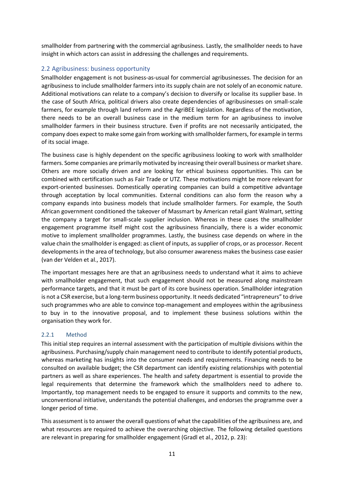smallholder from partnering with the commercial agribusiness. Lastly, the smallholder needs to have insight in which actors can assist in addressing the challenges and requirements.

## <span id="page-11-0"></span>2.2 Agribusiness: business opportunity

Smallholder engagement is not business-as-usual for commercial agribusinesses. The decision for an agribusiness to include smallholder farmers into its supply chain are not solely of an economic nature. Additional motivations can relate to a company's decision to diversify or localise its supplier base. In the case of South Africa, political drivers also create dependencies of agribusinesses on small-scale farmers, for example through land reform and the AgriBEE legislation. Regardless of the motivation, there needs to be an overall business case in the medium term for an agribusiness to involve smallholder farmers in their business structure. Even if profits are not necessarily anticipated, the company does expect to make some gain from working with smallholder farmers, for example in terms of its social image.

The business case is highly dependent on the specific agribusiness looking to work with smallholder farmers. Some companies are primarily motivated by increasing their overall business or market share. Others are more socially driven and are looking for ethical business opportunities. This can be combined with certification such as Fair Trade or UTZ. These motivations might be more relevant for export-oriented businesses. Domestically operating companies can build a competitive advantage through acceptation by local communities. External conditions can also form the reason why a company expands into business models that include smallholder farmers. For example, the South African government conditioned the takeover of Massmart by American retail giant Walmart, setting the company a target for small-scale supplier inclusion. Whereas in these cases the smallholder engagement programme itself might cost the agribusiness financially, there is a wider economic motive to implement smallholder programmes. Lastly, the business case depends on where in the value chain the smallholder is engaged: as client of inputs, as supplier of crops, or as processor. Recent developments in the area of technology, but also consumer awareness makes the business case easier (van der Velden et al., 2017).

The important messages here are that an agribusiness needs to understand what it aims to achieve with smallholder engagement, that such engagement should not be measured along mainstream performance targets, and that it must be part of its core business operation. Smallholder integration is not a CSR exercise, but a long-term business opportunity. It needs dedicated "intrapreneurs" to drive such programmes who are able to convince top-management and employees within the agribusiness to buy in to the innovative proposal, and to implement these business solutions within the organisation they work for.

## <span id="page-11-1"></span>2.2.1 Method

This initial step requires an internal assessment with the participation of multiple divisions within the agribusiness. Purchasing/supply chain management need to contribute to identify potential products, whereas marketing has insights into the consumer needs and requirements. Financing needs to be consulted on available budget; the CSR department can identify existing relationships with potential partners as well as share experiences. The health and safety department is essential to provide the legal requirements that determine the framework which the smallholders need to adhere to. Importantly, top management needs to be engaged to ensure it supports and commits to the new, unconventional initiative, understands the potential challenges, and endorses the programme over a longer period of time.

This assessment is to answer the overall questions of what the capabilities of the agribusiness are, and what resources are required to achieve the overarching objective. The following detailed questions are relevant in preparing for smallholder engagement (Gradl et al., 2012, p. 23):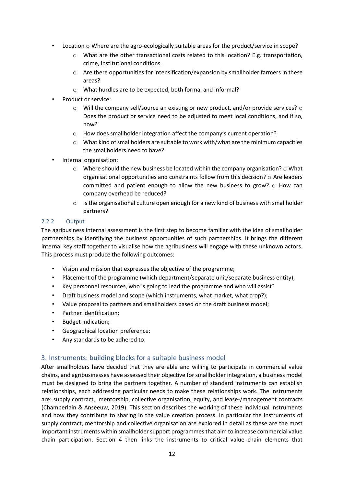- Location  $\circ$  Where are the agro-ecologically suitable areas for the product/service in scope?
	- $\circ$  What are the other transactional costs related to this location? E.g. transportation, crime, institutional conditions.
	- o Are there opportunities for intensification/expansion by smallholder farmers in these areas?
	- o What hurdles are to be expected, both formal and informal?
- Product or service:
	- $\circ$  Will the company sell/source an existing or new product, and/or provide services?  $\circ$ Does the product or service need to be adjusted to meet local conditions, and if so, how?
	- o How does smallholder integration affect the company's current operation?
	- o What kind of smallholders are suitable to work with/what are the minimum capacities the smallholders need to have?
- Internal organisation:
	- $\circ$  Where should the new business be located within the company organisation?  $\circ$  What organisational opportunities and constraints follow from this decision?  $\circ$  Are leaders committed and patient enough to allow the new business to grow?  $\circ$  How can company overhead be reduced?
	- $\circ$  Is the organisational culture open enough for a new kind of business with smallholder partners?

#### <span id="page-12-0"></span>2.2.2 Output

The agribusiness internal assessment is the first step to become familiar with the idea of smallholder partnerships by identifying the business opportunities of such partnerships. It brings the different internal key staff together to visualise how the agribusiness will engage with these unknown actors. This process must produce the following outcomes:

- Vision and mission that expresses the objective of the programme;
- Placement of the programme (which department/separate unit/separate business entity);
- Key personnel resources, who is going to lead the programme and who will assist?
- Draft business model and scope (which instruments, what market, what crop?);
- Value proposal to partners and smallholders based on the draft business model;
- Partner identification;
- Budget indication;
- Geographical location preference;
- Any standards to be adhered to.

#### <span id="page-12-1"></span>3. Instruments: building blocks for a suitable business model

After smallholders have decided that they are able and willing to participate in commercial value chains, and agribusinesses have assessed their objective for smallholder integration, a business model must be designed to bring the partners together. A number of standard instruments can establish relationships, each addressing particular needs to make these relationships work. The instruments are: supply contract, mentorship, collective organisation, equity, and lease-/management contracts (Chamberlain & Anseeuw, 2019). This section describes the working of these individual instruments and how they contribute to sharing in the value creation process. In particular the instruments of supply contract, mentorship and collective organisation are explored in detail as these are the most important instruments within smallholder support programmes that aim to increase commercial value chain participation. Section 4 then links the instruments to critical value chain elements that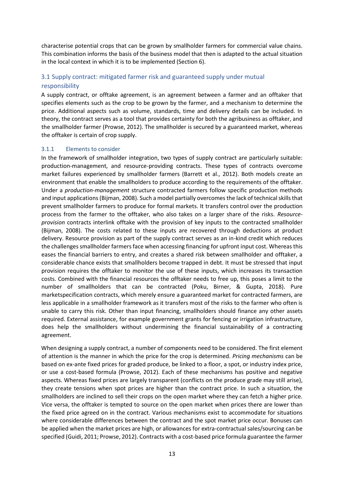characterise potential crops that can be grown by smallholder farmers for commercial value chains. This combination informs the basis of the business model that then is adapted to the actual situation in the local context in which it is to be implemented (Section 6).

## <span id="page-13-0"></span>3.1 Supply contract: mitigated farmer risk and guaranteed supply under mutual responsibility

A supply contract, or offtake agreement, is an agreement between a farmer and an offtaker that specifies elements such as the crop to be grown by the farmer, and a mechanism to determine the price. Additional aspects such as volume, standards, time and delivery details can be included. In theory, the contract serves as a tool that provides certainty for both the agribusiness as offtaker, and the smallholder farmer (Prowse, 2012). The smallholder is secured by a guaranteed market, whereas the offtaker is certain of crop supply.

#### <span id="page-13-1"></span>3.1.1 Elements to consider

In the framework of smallholder integration, two types of supply contract are particularly suitable: production-management, and resource-providing contracts. These types of contracts overcome market failures experienced by smallholder farmers (Barrett et al., 2012). Both models create an environment that enable the smallholders to produce according to the requirements of the offtaker. Under a *production-management* structure contracted farmers follow specific production methods and input applications (Bijman, 2008). Such a model partially overcomes the lack of technical skills that prevent smallholder farmers to produce for formal markets. It transfers control over the production process from the farmer to the offtaker, who also takes on a larger share of the risks. *Resourceprovision* contracts interlink offtake with the provision of key inputs to the contracted smallholder (Bijman, 2008). The costs related to these inputs are recovered through deductions at product delivery. Resource provision as part of the supply contract serves as an in-kind credit which reduces the challenges smallholder farmers face when accessing financing for upfront input cost. Whereas this eases the financial barriers to entry, and creates a shared risk between smallholder and offtaker, a considerable chance exists that smallholders become trapped in debt. It must be stressed that input provision requires the offtaker to monitor the use of these inputs, which increases its transaction costs. Combined with the financial resources the offtaker needs to free up, this poses a limit to the number of smallholders that can be contracted (Poku, Birner, & Gupta, 2018). Pure marketspecification contracts, which merely ensure a guaranteed market for contracted farmers, are less applicable in a smallholder framework as it transfers most of the risks to the farmer who often is unable to carry this risk. Other than input financing, smallholders should finance any other assets required. External assistance, for example government grants for fencing or irrigation infrastructure, does help the smallholders without undermining the financial sustainability of a contracting agreement.

When designing a supply contract, a number of components need to be considered. The first element of attention is the manner in which the price for the crop is determined. *Pricing mechanisms* can be based on ex-ante fixed prices for graded produce, be linked to a floor, a spot, or industry index price, or use a cost-based formula (Prowse, 2012). Each of these mechanisms has positive and negative aspects. Whereas fixed prices are largely transparent (conflicts on the produce grade may still arise), they create tensions when spot prices are higher than the contract price. In such a situation, the smallholders are inclined to sell their crops on the open market where they can fetch a higher price. Vice versa, the offtaker is tempted to source on the open market when prices there are lower than the fixed price agreed on in the contract. Various mechanisms exist to accommodate for situations where considerable differences between the contract and the spot market price occur. Bonuses can be applied when the market prices are high, or allowances for extra-contractual sales/sourcing can be specified (Guidi, 2011; Prowse, 2012). Contracts with a cost-based price formula guarantee the farmer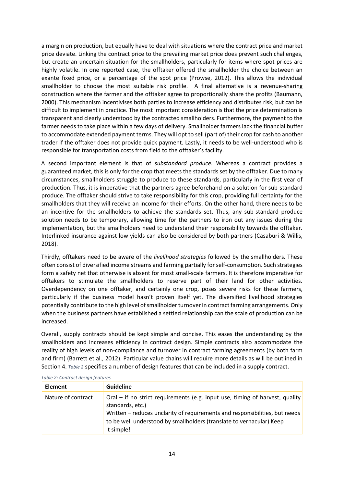a margin on production, but equally have to deal with situations where the contract price and market price deviate. Linking the contract price to the prevailing market price does prevent such challenges, but create an uncertain situation for the smallholders, particularly for items where spot prices are highly volatile. In one reported case, the offtaker offered the smallholder the choice between an exante fixed price, or a percentage of the spot price (Prowse, 2012). This allows the individual smallholder to choose the most suitable risk profile. A final alternative is a revenue-sharing construction where the farmer and the offtaker agree to proportionally share the profits (Baumann, 2000). This mechanism incentivises both parties to increase efficiency and distributes risk, but can be difficult to implement in practice. The most important consideration is that the price determination is transparent and clearly understood by the contracted smallholders. Furthermore, the payment to the farmer needs to take place within a few days of delivery. Smallholder farmers lack the financial buffer to accommodate extended payment terms. They will opt to sell (part of) their crop for cash to another trader if the offtaker does not provide quick payment. Lastly, it needs to be well-understood who is responsible for transportation costs from field to the offtaker's facility.

A second important element is that of *substandard produce*. Whereas a contract provides a guaranteed market, this is only for the crop that meets the standards set by the offtaker. Due to many circumstances, smallholders struggle to produce to these standards, particularly in the first year of production. Thus, it is imperative that the partners agree beforehand on a solution for sub-standard produce. The offtaker should strive to take responsibility for this crop, providing full certainty for the smallholders that they will receive an income for their efforts. On the other hand, there needs to be an incentive for the smallholders to achieve the standards set. Thus, any sub-standard produce solution needs to be temporary, allowing time for the partners to iron out any issues during the implementation, but the smallholders need to understand their responsibility towards the offtaker. Interlinked insurance against low yields can also be considered by both partners (Casaburi & Willis, 2018).

Thirdly, offtakers need to be aware of the *livelihood strategies* followed by the smallholders. These often consist of diversified income streams and farming partially for self-consumption. Such strategies form a safety net that otherwise is absent for most small-scale farmers. It is therefore imperative for offtakers to stimulate the smallholders to reserve part of their land for other activities. Overdependency on one offtaker, and certainly one crop, poses severe risks for these farmers, particularly if the business model hasn't proven itself yet. The diversified livelihood strategies potentially contribute to the high level of smallholder turnover in contract farming arrangements. Only when the business partners have established a settled relationship can the scale of production can be increased.

Overall, supply contracts should be kept simple and concise. This eases the understanding by the smallholders and increases efficiency in contract design. Simple contracts also accommodate the reality of high levels of non-compliance and turnover in contract farming agreements (by both farm and firm) (Barrett et al., 2012). Particular value chains will require more details as will be outlined in Section 4. *Table 2* specifies a number of design features that can be included in a supply contract.

| <b>Element</b>     | <b>Guideline</b>                                                                                                                                                                                                                                                      |
|--------------------|-----------------------------------------------------------------------------------------------------------------------------------------------------------------------------------------------------------------------------------------------------------------------|
| Nature of contract | Oral – if no strict requirements (e.g. input use, timing of harvest, quality<br>standards, etc.)<br>Written – reduces unclarity of requirements and responsibilities, but needs<br>to be well understood by smallholders (translate to vernacular) Keep<br>it simple! |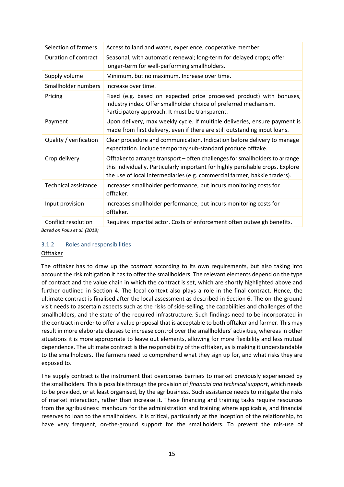| Selection of farmers                               | Access to land and water, experience, cooperative member                                                                                                                                                                                    |
|----------------------------------------------------|---------------------------------------------------------------------------------------------------------------------------------------------------------------------------------------------------------------------------------------------|
| Duration of contract                               | Seasonal, with automatic renewal; long-term for delayed crops; offer<br>longer-term for well-performing smallholders.                                                                                                                       |
| Supply volume                                      | Minimum, but no maximum. Increase over time.                                                                                                                                                                                                |
| Smallholder numbers                                | Increase over time.                                                                                                                                                                                                                         |
| Pricing                                            | Fixed (e.g. based on expected price processed product) with bonuses,<br>industry index. Offer smallholder choice of preferred mechanism.<br>Participatory approach. It must be transparent.                                                 |
| Payment                                            | Upon delivery, max weekly cycle. If multiple deliveries, ensure payment is<br>made from first delivery, even if there are still outstanding input loans.                                                                                    |
| Quality / verification                             | Clear procedure and communication. Indication before delivery to manage<br>expectation. Include temporary sub-standard produce offtake.                                                                                                     |
| Crop delivery                                      | Offtaker to arrange transport - often challenges for smallholders to arrange<br>this individually. Particularly important for highly perishable crops. Explore<br>the use of local intermediaries (e.g. commercial farmer, bakkie traders). |
| <b>Technical assistance</b>                        | Increases smallholder performance, but incurs monitoring costs for<br>offtaker.                                                                                                                                                             |
| Input provision                                    | Increases smallholder performance, but incurs monitoring costs for<br>offtaker.                                                                                                                                                             |
| Conflict resolution<br>Raced on Doku et al. (2018) | Requires impartial actor. Costs of enforcement often outweigh benefits.                                                                                                                                                                     |

*Based on Poku et al. (2018)*

#### <span id="page-15-0"></span>3.1.2 Roles and responsibilities

#### Offtaker

The offtaker has to draw up the *contract* according to its own requirements, but also taking into account the risk mitigation it has to offer the smallholders. The relevant elements depend on the type of contract and the value chain in which the contract is set, which are shortly highlighted above and further outlined in Section 4. The local context also plays a role in the final contract. Hence, the ultimate contract is finalised after the local assessment as described in Section 6. The on-the-ground visit needs to ascertain aspects such as the risks of side-selling, the capabilities and challenges of the smallholders, and the state of the required infrastructure. Such findings need to be incorporated in the contract in order to offer a value proposal that is acceptable to both offtaker and farmer. This may result in more elaborate clauses to increase control over the smallholders' activities, whereas in other situations it is more appropriate to leave out elements, allowing for more flexibility and less mutual dependence. The ultimate contract is the responsibility of the offtaker, as is making it understandable to the smallholders. The farmers need to comprehend what they sign up for, and what risks they are exposed to.

The supply contract is the instrument that overcomes barriers to market previously experienced by the smallholders. This is possible through the provision of *financial and technical support*, which needs to be provided, or at least organised, by the agribusiness. Such assistance needs to mitigate the risks of market interaction, rather than increase it. These financing and training tasks require resources from the agribusiness: manhours for the administration and training where applicable, and financial reserves to loan to the smallholders. It is critical, particularly at the inception of the relationship, to have very frequent, on-the-ground support for the smallholders. To prevent the mis-use of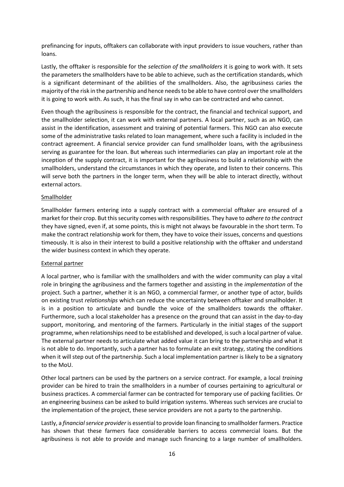prefinancing for inputs, offtakers can collaborate with input providers to issue vouchers, rather than loans.

Lastly, the offtaker is responsible for the *selection of the smallholders* it is going to work with. It sets the parameters the smallholders have to be able to achieve, such as the certification standards, which is a significant determinant of the abilities of the smallholders. Also, the agribusiness caries the majority of the risk in the partnership and hence needs to be able to have control over the smallholders it is going to work with. As such, it has the final say in who can be contracted and who cannot.

Even though the agribusiness is responsible for the contract, the financial and technical support, and the smallholder selection, it can work with external partners. A local partner, such as an NGO, can assist in the identification, assessment and training of potential farmers. This NGO can also execute some of the administrative tasks related to loan management, where such a facility is included in the contract agreement. A financial service provider can fund smallholder loans, with the agribusiness serving as guarantee for the loan. But whereas such intermediaries can play an important role at the inception of the supply contract, it is important for the agribusiness to build a relationship with the smallholders, understand the circumstances in which they operate, and listen to their concerns. This will serve both the partners in the longer term, when they will be able to interact directly, without external actors.

#### Smallholder

Smallholder farmers entering into a supply contract with a commercial offtaker are ensured of a market for their crop. But this security comes with responsibilities. They have to *adhere to the contract* they have signed, even if, at some points, this is might not always be favourable in the short term. To make the contract relationship work for them, they have to voice their issues, concerns and questions timeously. It is also in their interest to build a positive relationship with the offtaker and understand the wider business context in which they operate.

#### External partner

A local partner, who is familiar with the smallholders and with the wider community can play a vital role in bringing the agribusiness and the farmers together and assisting in the *implementation* of the project. Such a partner, whether it is an NGO, a commercial farmer, or another type of actor, builds on existing trust *relationships* which can reduce the uncertainty between offtaker and smallholder. It is in a position to articulate and bundle the voice of the smallholders towards the offtaker. Furthermore, such a local stakeholder has a presence on the ground that can assist in the day-to-day support, monitoring, and mentoring of the farmers. Particularly in the initial stages of the support programme, when relationships need to be established and developed, is such a local partner of value. The external partner needs to articulate what added value it can bring to the partnership and what it is not able to do. Importantly, such a partner has to formulate an exit strategy, stating the conditions when it will step out of the partnership. Such a local implementation partner is likely to be a signatory to the MoU.

Other local partners can be used by the partners on a service contract. For example, a local *training* provider can be hired to train the smallholders in a number of courses pertaining to agricultural or business practices. A commercial farmer can be contracted for temporary use of packing facilities. Or an engineering business can be asked to build irrigation systems. Whereas such services are crucial to the implementation of the project, these service providers are not a party to the partnership.

Lastly, a *financial service provider* is essential to provide loan financing to smallholder farmers. Practice has shown that these farmers face considerable barriers to access commercial loans. But the agribusiness is not able to provide and manage such financing to a large number of smallholders.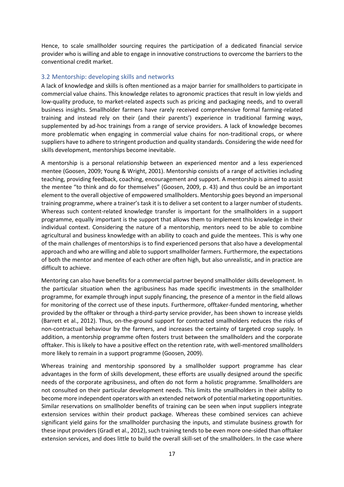Hence, to scale smallholder sourcing requires the participation of a dedicated financial service provider who is willing and able to engage in innovative constructions to overcome the barriers to the conventional credit market.

#### <span id="page-17-0"></span>3.2 Mentorship: developing skills and networks

A lack of knowledge and skills is often mentioned as a major barrier for smallholders to participate in commercial value chains. This knowledge relates to agronomic practices that result in low yields and low-quality produce, to market-related aspects such as pricing and packaging needs, and to overall business insights. Smallholder farmers have rarely received comprehensive formal farming-related training and instead rely on their (and their parents') experience in traditional farming ways, supplemented by ad-hoc trainings from a range of service providers. A lack of knowledge becomes more problematic when engaging in commercial value chains for non-traditional crops, or where suppliers have to adhere to stringent production and quality standards. Considering the wide need for skills development, mentorships become inevitable.

A mentorship is a personal relationship between an experienced mentor and a less experienced mentee (Goosen, 2009; Young & Wright, 2001). Mentorship consists of a range of activities including teaching, providing feedback, coaching, encouragement and support. A mentorship is aimed to assist the mentee "to think and do for themselves" (Goosen, 2009, p. 43) and thus could be an important element to the overall objective of empowered smallholders. Mentorship goes beyond an impersonal training programme, where a trainer's task it is to deliver a set content to a larger number of students. Whereas such content-related knowledge transfer is important for the smallholders in a support programme, equally important is the support that allows them to implement this knowledge in their individual context. Considering the nature of a mentorship, mentors need to be able to combine agricultural and business knowledge with an ability to coach and guide the mentees. This is why one of the main challenges of mentorships is to find experienced persons that also have a developmental approach and who are willing and able to support smallholder farmers. Furthermore, the expectations of both the mentor and mentee of each other are often high, but also unrealistic, and in practice are difficult to achieve.

Mentoring can also have benefits for a commercial partner beyond smallholder skills development. In the particular situation when the agribusiness has made specific investments in the smallholder programme, for example through input supply financing, the presence of a mentor in the field allows for monitoring of the correct use of these inputs. Furthermore, offtaker-funded mentoring, whether provided by the offtaker or through a third-party service provider, has been shown to increase yields (Barrett et al., 2012). Thus, on-the-ground support for contracted smallholders reduces the risks of non-contractual behaviour by the farmers, and increases the certainty of targeted crop supply. In addition, a mentorship programme often fosters trust between the smallholders and the corporate offtaker. This is likely to have a positive effect on the retention rate, with well-mentored smallholders more likely to remain in a support programme (Goosen, 2009).

Whereas training and mentorship sponsored by a smallholder support programme has clear advantages in the form of skills development, these efforts are usually designed around the specific needs of the corporate agribusiness, and often do not form a holistic programme. Smallholders are not consulted on their particular development needs. This limits the smallholders in their ability to become more independent operators with an extended network of potential marketing opportunities. Similar reservations on smallholder benefits of training can be seen when input suppliers integrate extension services within their product package. Whereas these combined services can achieve significant yield gains for the smallholder purchasing the inputs, and stimulate business growth for these input providers (Gradl et al., 2012), such training tends to be even more one-sided than offtaker extension services, and does little to build the overall skill-set of the smallholders. In the case where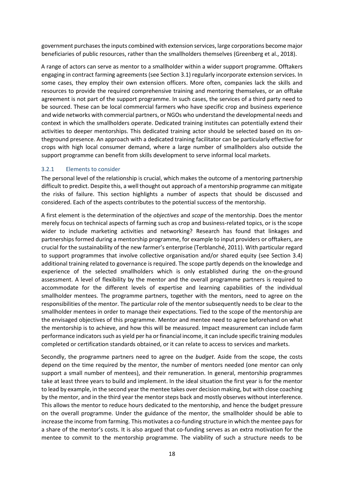government purchases the inputs combined with extension services, large corporations become major beneficiaries of public resources, rather than the smallholders themselves (Greenberg et al., 2018).

A range of actors can serve as mentor to a smallholder within a wider support programme. Offtakers engaging in contract farming agreements (see Section 3.1) regularly incorporate extension services. In some cases, they employ their own extension officers. More often, companies lack the skills and resources to provide the required comprehensive training and mentoring themselves, or an offtake agreement is not part of the support programme. In such cases, the services of a third party need to be sourced. These can be local commercial farmers who have specific crop and business experience and wide networks with commercial partners, or NGOs who understand the developmental needs and context in which the smallholders operate. Dedicated training institutes can potentially extend their activities to deeper mentorships. This dedicated training actor should be selected based on its ontheground presence. An approach with a dedicated training facilitator can be particularly effective for crops with high local consumer demand, where a large number of smallholders also outside the support programme can benefit from skills development to serve informal local markets.

#### <span id="page-18-0"></span>3.2.1 Elements to consider

The personal level of the relationship is crucial, which makes the outcome of a mentoring partnership difficult to predict. Despite this, a well thought out approach of a mentorship programme can mitigate the risks of failure. This section highlights a number of aspects that should be discussed and considered. Each of the aspects contributes to the potential success of the mentorship.

A first element is the determination of the *objectives* and *scope* of the mentorship. Does the mentor merely focus on technical aspects of farming such as crop and business-related topics, or is the scope wider to include marketing activities and networking? Research has found that linkages and partnerships formed during a mentorship programme, for example to input providers or offtakers, are crucial for the sustainability of the new farmer's enterprise (Terblanché, 2011). With particular regard to support programmes that involve collective organisation and/or shared equity (see Section 3.4) additional training related to governance is required. The scope partly depends on the knowledge and experience of the selected smallholders which is only established during the on-the-ground assessment. A level of flexibility by the mentor and the overall programme partners is required to accommodate for the different levels of expertise and learning capabilities of the individual smallholder mentees. The programme partners, together with the mentors, need to agree on the responsibilities of the mentor. The particular role of the mentor subsequently needs to be clear to the smallholder mentees in order to manage their expectations. Tied to the scope of the mentorship are the envisaged objectives of this programme. Mentor and mentee need to agree beforehand on what the mentorship is to achieve, and how this will be measured. Impact measurement can include farm performance indicators such as yield per ha or financial income, it can include specific training modules completed or certification standards obtained, or it can relate to access to services and markets.

Secondly, the programme partners need to agree on the *budget*. Aside from the scope, the costs depend on the time required by the mentor, the number of mentors needed (one mentor can only support a small number of mentees), and their remuneration. In general, mentorship programmes take at least three years to build and implement. In the ideal situation the first year is for the mentor to lead by example, in the second year the mentee takes over decision making, but with close coaching by the mentor, and in the third year the mentor steps back and mostly observes without interference. This allows the mentor to reduce hours dedicated to the mentorship, and hence the budget pressure on the overall programme. Under the guidance of the mentor, the smallholder should be able to increase the income from farming. This motivates a co-funding structure in which the mentee pays for a share of the mentor's costs. It is also argued that co-funding serves as an extra motivation for the mentee to commit to the mentorship programme. The viability of such a structure needs to be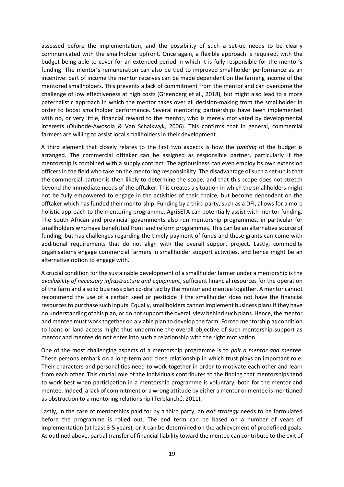assessed before the implementation, and the possibility of such a set-up needs to be clearly communicated with the smallholder upfront. Once again, a flexible approach is required, with the budget being able to cover for an extended period in which it is fully responsible for the mentor's funding. The mentor's remuneration can also be tied to improved smallholder performance as an incentive: part of income the mentor receives can be made dependent on the farming income of the mentored smallholders. This prevents a lack of commitment from the mentor and can overcome the challenge of low effectiveness at high costs (Greenberg et al., 2018), but might also lead to a more paternalistic approach in which the mentor takes over all decision-making from the smallholder in order to boost smallholder performance. Several mentoring partnerships have been implemented with no, or very little, financial reward to the mentor, who is merely motivated by developmental interests (Olubode-Awosola & Van Schalkwyk, 2006). This confirms that in general, commercial farmers are willing to assist local smallholders in their development.

A third element that closely relates to the first two aspects is how the *funding* of the budget is arranged. The commercial offtaker can be assigned as responsible partner, particularly if the mentorship is combined with a supply contract. The agribusiness can even employ its own extension officers in the field who take on the mentoring responsibility. The disadvantage of such a set-up is that the commercial partner is then likely to determine the scope, and that this scope does not stretch beyond the immediate needs of the offtaker. This creates a situation in which the smallholders might not be fully empowered to engage in the activities of their choice, but become dependent on the offtaker which has funded their mentorship. Funding by a third party, such as a DFI, allows for a more holistic approach to the mentoring programme. AgriSETA can potentially assist with mentor funding. The South African and provincial governments also run mentorship programmes, in particular for smallholders who have benefitted from land reform programmes. This can be an alternative source of funding, but has challenges regarding the timely payment of funds and these grants can come with additional requirements that do not align with the overall support project. Lastly, commodity organisations engage commercial farmers in smallholder support activities, and hence might be an alternative option to engage with.

A crucial condition for the sustainable development of a smallholder farmer under a mentorship is the *availability of necessary infrastructure and equipment*, sufficient financial resources for the operation of the farm and a solid business plan co-drafted by the mentor and mentee together. A mentor cannot recommend the use of a certain seed or pesticide if the smallholder does not have the financial resources to purchase such inputs. Equally, smallholders cannot implement business plans if they have no understanding of this plan, or do not support the overall view behind such plans. Hence, the mentor and mentee must work together on a viable plan to develop the farm. Forced mentorship as condition to loans or land access might thus undermine the overall objective of such mentorship support as mentor and mentee do not enter into such a relationship with the right motivation.

One of the most challenging aspects of a mentorship programme is to *pair a mentor and mentee*. These persons embark on a long-term and close relationship in which trust plays an important role. Their characters and personalities need to work together in order to motivate each other and learn from each other. This crucial role of the individuals contributes to the finding that mentorships tend to work best when participation in a mentorship programme is voluntary, both for the mentor and mentee. Indeed, a lack of commitment or a wrong attitude by either a mentor or mentee is mentioned as obstruction to a mentoring relationship (Terblanché, 2011).

Lastly, in the case of mentorships paid for by a third party, an *exit strategy* needs to be formulated before the programme is rolled out. The end term can be based on a number of years of implementation (at least 3-5 years), or it can be determined on the achievement of predefined goals. As outlined above, partial transfer of financial liability toward the mentee can contribute to the exit of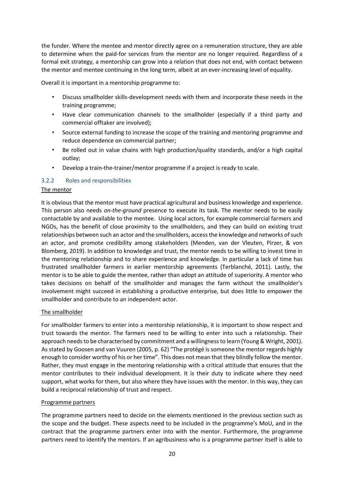the funder. Where the mentee and mentor directly agree on a remuneration structure, they are able to determine when the paid-for services from the mentor are no longer required. Regardless of a formal exit strategy, a mentorship can grow into a relation that does not end, with contact between the mentor and mentee continuing in the long term, albeit at an ever-increasing level of equality.

Overall it is important in a mentorship programme to:

- Discuss smallholder skills-development needs with them and incorporate these needs in the training programme;
- Have clear communication channels to the smallholder (especially if a third party and commercial offtaker are involved);
- Source external funding to increase the scope of the training and mentoring programme and reduce dependence on commercial partner;
- Be rolled out in value chains with high production/quality standards, and/or a high capital outlay;
- Develop a train-the-trainer/mentor programme if a project is ready to scale.

#### <span id="page-20-0"></span>3.2.2 Roles and responsibilities

#### The mentor

It is obvious that the mentor must have practical agricultural and business knowledge and experience. This person also needs *on-the-ground* presence to execute its task. The mentor needs to be easily contactable by and available to the mentee. Using local actors, for example commercial farmers and NGOs, has the benefit of close proximity to the smallholders, and they can build on existing trust relationships between such an actor and the smallholders, access the knowledge and networks of such an actor, and promote credibility among stakeholders (Menden, van der Vleuten, Pirzer, & von Blomberg, 2019). In addition to knowledge and trust, the mentor needs to be willing to invest time in the mentoring relationship and to share experience and knowledge. In particular a lack of time has frustrated smallholder farmers in earlier mentorship agreements (Terblanché, 2011). Lastly, the mentor is to be able to guide the mentee, rather than adopt an attitude of superiority. A mentor who takes decisions on behalf of the smallholder and manages the farm without the smallholder's involvement might succeed in establishing a productive enterprise, but does little to empower the smallholder and contribute to an independent actor.

#### The smallholder

For smallholder farmers to enter into a mentorship relationship, it is important to show respect and trust towards the mentor. The farmers need to be willing to enter into such a relationship. Their approach needs to be characterised by commitment and a willingness to learn (Young & Wright, 2001). As stated by Goosen and van Vuuren (2005, p. 62) "The protégé is someone the mentor regards highly enough to consider worthy of his or her time". This does not mean that they blindly follow the mentor. Rather, they must engage in the mentoring relationship with a critical attitude that ensures that the mentor contributes to their individual development. It is their duty to indicate where they need support, what works for them, but also where they have issues with the mentor. In this way, they can build a reciprocal relationship of trust and respect.

#### Programme partners

The programme partners need to decide on the elements mentioned in the previous section such as the scope and the budget. These aspects need to be included in the programme's MoU, and in the contract that the programme partners enter into with the mentor. Furthermore, the programme partners need to identify the mentors. If an agribusiness who is a programme partner itself is able to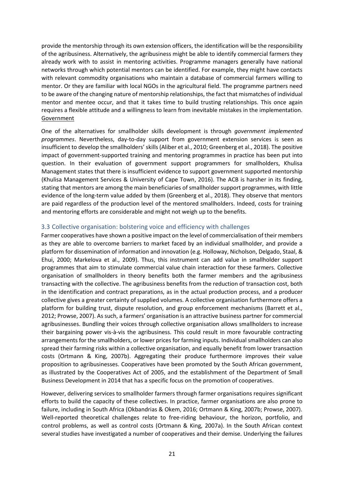provide the mentorship through its own extension officers, the identification will be the responsibility of the agribusiness. Alternatively, the agribusiness might be able to identify commercial farmers they already work with to assist in mentoring activities. Programme managers generally have national networks through which potential mentors can be identified. For example, they might have contacts with relevant commodity organisations who maintain a database of commercial farmers willing to mentor. Or they are familiar with local NGOs in the agricultural field. The programme partners need to be aware of the changing nature of mentorship relationships, the fact that mismatches of individual mentor and mentee occur, and that it takes time to build trusting relationships. This once again requires a flexible attitude and a willingness to learn from inevitable mistakes in the implementation. Government

One of the alternatives for smallholder skills development is through *government implemented programmes*. Nevertheless, day-to-day support from government extension services is seen as insufficient to develop the smallholders' skills (Aliber et al., 2010; Greenberg et al., 2018). The positive impact of government-supported training and mentoring programmes in practice has been put into question. In their evaluation of government support programmers for smallholders, Khulisa Management states that there is insufficient evidence to support government supported mentorship (Khulisa Management Services & University of Cape Town, 2016). The ACB is harsher in its finding, stating that mentors are among the main beneficiaries of smallholder support programmes, with little evidence of the long-term value added by them (Greenberg et al., 2018). They observe that mentors are paid regardless of the production level of the mentored smallholders. Indeed, costs for training and mentoring efforts are considerable and might not weigh up to the benefits.

#### <span id="page-21-0"></span>3.3 Collective organisation: bolstering voice and efficiency with challenges

Farmer cooperatives have shown a positive impact on the level of commercialisation of their members as they are able to overcome barriers to market faced by an individual smallholder, and provide a platform for dissemination of information and innovation (e.g. Holloway, Nicholson, Delgado, Staal, & Ehui, 2000; Markelova et al., 2009). Thus, this instrument can add value in smallholder support programmes that aim to stimulate commercial value chain interaction for these farmers. Collective organisation of smallholders in theory benefits both the farmer members and the agribusiness transacting with the collective. The agribusiness benefits from the reduction of transaction cost, both in the identification and contract preparations, as in the actual production process, and a producer collective gives a greater certainty of supplied volumes. A collective organisation furthermore offers a platform for building trust, dispute resolution, and group enforcement mechanisms (Barrett et al., 2012; Prowse, 2007). As such, a farmers' organisation is an attractive business partner for commercial agribusinesses. Bundling their voices through collective organisation allows smallholders to increase their bargaining power vis-à-vis the agribusiness. This could result in more favourable contracting arrangements for the smallholders, or lower prices for farming inputs. Individual smallholders can also spread their farming risks within a collective organisation, and equally benefit from lower transaction costs (Ortmann & King, 2007b). Aggregating their produce furthermore improves their value proposition to agribusinesses. Cooperatives have been promoted by the South African government, as illustrated by the Cooperatives Act of 2005, and the establishment of the Department of Small Business Development in 2014 that has a specific focus on the promotion of cooperatives.

However, delivering services to smallholder farmers through farmer organisations requires significant efforts to build the capacity of these collectives. In practice, farmer organisations are also prone to failure, including in South Africa (Okbandrias & Okem, 2016; Ortmann & King, 2007b; Prowse, 2007). Well-reported theoretical challenges relate to free-riding behaviour, the horizon, portfolio, and control problems, as well as control costs (Ortmann & King, 2007a). In the South African context several studies have investigated a number of cooperatives and their demise. Underlying the failures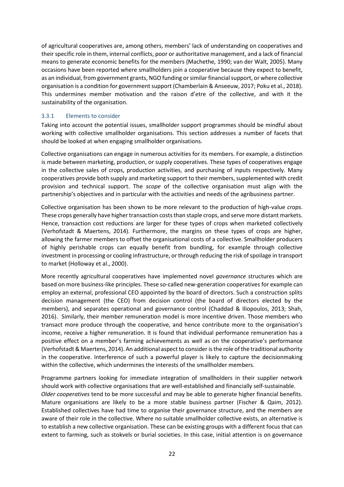of agricultural cooperatives are, among others, members' lack of understanding on cooperatives and their specific role in them, internal conflicts, poor or authoritative management, and a lack of financial means to generate economic benefits for the members (Machethe, 1990; van der Walt, 2005). Many occasions have been reported where smallholders join a cooperative because they expect to benefit, as an individual, from government grants, NGO funding or similar financial support, or where collective organisation is a condition for government support (Chamberlain & Anseeuw, 2017; Poku et al., 2018). This undermines member motivation and the raison d'etre of the collective, and with it the sustainability of the organisation.

#### <span id="page-22-0"></span>3.3.1 Elements to consider

Taking into account the potential issues, smallholder support programmes should be mindful about working with collective smallholder organisations. This section addresses a number of facets that should be looked at when engaging smallholder organisations.

Collective organisations can engage in numerous activities for its members. For example, a distinction is made between marketing, production, or supply cooperatives. These types of cooperatives engage in the collective sales of crops, production activities, and purchasing of inputs respectively. Many cooperatives provide both supply and marketing support to their members, supplemented with credit provision and technical support. The *scope* of the collective organisation must align with the partnership's objectives and in particular with the activities and needs of the agribusiness partner.

Collective organisation has been shown to be more relevant to the production of high-value *crops*. These crops generally have higher transaction costs than staple crops, and serve more distant markets. Hence, transaction cost reductions are larger for these types of crops when marketed collectively (Verhofstadt & Maertens, 2014). Furthermore, the margins on these types of crops are higher, allowing the farmer members to offset the organisational costs of a collective. Smallholder producers of highly perishable crops can equally benefit from bundling, for example through collective investment in processing or cooling infrastructure, or through reducing the risk of spoilage in transport to market (Holloway et al., 2000).

More recently agricultural cooperatives have implemented novel *governance* structures which are based on more business-like principles. These so-called new-generation cooperatives for example can employ an external, professional CEO appointed by the board of directors. Such a construction splits decision management (the CEO) from decision control (the board of directors elected by the members), and separates operational and governance control (Chaddad & Iliopoulos, 2013; Shah, 2016). Similarly, their member remuneration model is more incentive driven. Those members who transact more produce through the cooperative, and hence contribute more to the organisation's income, receive a higher remuneration. It is found that individual performance remuneration has a positive effect on a member's farming achievements as well as on the cooperative's performance (Verhofstadt & Maertens, 2014). An additional aspect to consider is the role of the traditional authority in the cooperative. Interference of such a powerful player is likely to capture the decisionmaking within the collective, which undermines the interests of the smallholder members.

Programme partners looking for immediate integration of smallholders in their supplier network should work with collective organisations that are well-established and financially self-sustainable. *Older cooperatives* tend to be more successful and may be able to generate higher financial benefits. Mature organisations are likely to be a more stable business partner (Fischer & Qaim, 2012). Established collectives have had time to organise their governance structure, and the members are aware of their role in the collective. Where no suitable smallholder collective exists, an alternative is to establish a new collective organisation. These can be existing groups with a different focus that can extent to farming, such as stokvels or burial societies. In this case, initial attention is on governance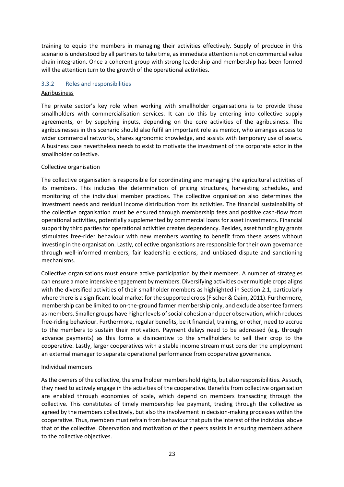training to equip the members in managing their activities effectively. Supply of produce in this scenario is understood by all partners to take time, as immediate attention is not on commercial value chain integration. Once a coherent group with strong leadership and membership has been formed will the attention turn to the growth of the operational activities.

#### <span id="page-23-0"></span>3.3.2 Roles and responsibilities

#### Agribusiness

The private sector's key role when working with smallholder organisations is to provide these smallholders with commercialisation services. It can do this by entering into collective supply agreements, or by supplying inputs, depending on the core activities of the agribusiness. The agribusinesses in this scenario should also fulfil an important role as mentor, who arranges access to wider commercial networks, shares agronomic knowledge, and assists with temporary use of assets. A business case nevertheless needs to exist to motivate the investment of the corporate actor in the smallholder collective.

#### Collective organisation

The collective organisation is responsible for coordinating and managing the agricultural activities of its members. This includes the determination of pricing structures, harvesting schedules, and monitoring of the individual member practices. The collective organisation also determines the investment needs and residual income distribution from its activities. The financial sustainability of the collective organisation must be ensured through membership fees and positive cash-flow from operational activities, potentially supplemented by commercial loans for asset investments. Financial support by third parties for operational activities creates dependency. Besides, asset funding by grants stimulates free-rider behaviour with new members wanting to benefit from these assets without investing in the organisation. Lastly, collective organisations are responsible for their own governance through well-informed members, fair leadership elections, and unbiased dispute and sanctioning mechanisms.

Collective organisations must ensure active participation by their members. A number of strategies can ensure a more intensive engagement by members. Diversifying activities over multiple crops aligns with the diversified activities of their smallholder members as highlighted in Section 2.1, particularly where there is a significant local market for the supported crops (Fischer & Qaim, 2011). Furthermore, membership can be limited to on-the-ground farmer membership only, and exclude absentee farmers as members. Smaller groups have higher levels of social cohesion and peer observation, which reduces free-riding behaviour. Furthermore, regular benefits, be it financial, training, or other, need to accrue to the members to sustain their motivation. Payment delays need to be addressed (e.g. through advance payments) as this forms a disincentive to the smallholders to sell their crop to the cooperative. Lastly, larger cooperatives with a stable income stream must consider the employment an external manager to separate operational performance from cooperative governance.

#### Individual members

As the owners of the collective, the smallholder members hold rights, but also responsibilities. As such, they need to actively engage in the activities of the cooperative. Benefits from collective organisation are enabled through economies of scale, which depend on members transacting through the collective. This constitutes of timely membership fee payment, trading through the collective as agreed by the members collectively, but also the involvement in decision-making processes within the cooperative. Thus, members must refrain from behaviour that puts the interest of the individual above that of the collective. Observation and motivation of their peers assists in ensuring members adhere to the collective objectives.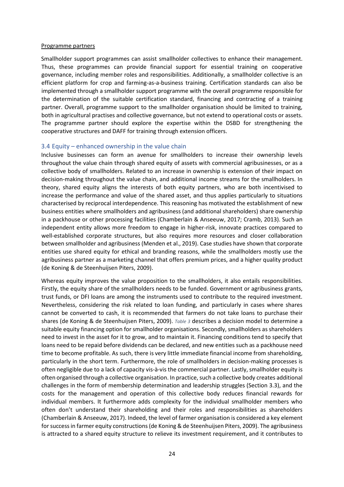#### Programme partners

Smallholder support programmes can assist smallholder collectives to enhance their management. Thus, these programmes can provide financial support for essential training on cooperative governance, including member roles and responsibilities. Additionally, a smallholder collective is an efficient platform for crop and farming-as-a-business training. Certification standards can also be implemented through a smallholder support programme with the overall programme responsible for the determination of the suitable certification standard, financing and contracting of a training partner. Overall, programme support to the smallholder organisation should be limited to training, both in agricultural practises and collective governance, but not extend to operational costs or assets. The programme partner should explore the expertise within the DSBD for strengthening the cooperative structures and DAFF for training through extension officers.

#### <span id="page-24-0"></span>3.4 Equity – enhanced ownership in the value chain

Inclusive businesses can form an avenue for smallholders to increase their ownership levels throughout the value chain through shared equity of assets with commercial agribusinesses, or as a collective body of smallholders. Related to an increase in ownership is extension of their impact on decision-making throughout the value chain, and additional income streams for the smallholders. In theory, shared equity aligns the interests of both equity partners, who are both incentivised to increase the performance and value of the shared asset, and thus applies particularly to situations characterised by reciprocal interdependence. This reasoning has motivated the establishment of new business entities where smallholders and agribusiness (and additional shareholders) share ownership in a packhouse or other processing facilities (Chamberlain & Anseeuw, 2017; Cramb, 2013). Such an independent entity allows more freedom to engage in higher-risk, innovate practices compared to well-established corporate structures, but also requires more resources and closer collaboration between smallholder and agribusiness (Menden et al., 2019). Case studies have shown that corporate entities use shared equity for ethical and branding reasons, while the smallholders mostly use the agribusiness partner as a marketing channel that offers premium prices, and a higher quality product (de Koning & de Steenhuijsen Piters, 2009).

Whereas equity improves the value proposition to the smallholders, it also entails responsibilities. Firstly, the equity share of the smallholders needs to be funded. Government or agribusiness grants, trust funds, or DFI loans are among the instruments used to contribute to the required investment. Nevertheless, considering the risk related to loan funding, and particularly in cases where shares cannot be converted to cash, it is recommended that farmers do not take loans to purchase their shares (de Koning & de Steenhuijsen Piters, 2009). *Table 3* describes a decision model to determine a suitable equity financing option for smallholder organisations. Secondly, smallholders as shareholders need to invest in the asset for it to grow, and to maintain it. Financing conditions tend to specify that loans need to be repaid before dividends can be declared, and new entities such as a packhouse need time to become profitable. As such, there is very little immediate financial income from shareholding, particularly in the short term. Furthermore, the role of smallholders in decision-making processes is often negligible due to a lack of capacity vis-à-vis the commercial partner. Lastly, smallholder equity is often organised through a collective organisation. In practice, such a collective body creates additional challenges in the form of membership determination and leadership struggles (Section 3.3), and the costs for the management and operation of this collective body reduces financial rewards for individual members. It furthermore adds complexity for the individual smallholder members who often don't understand their shareholding and their roles and responsibilities as shareholders (Chamberlain & Anseeuw, 2017). Indeed, the level of farmer organisation is considered a key element for success in farmer equity constructions (de Koning & de Steenhuijsen Piters, 2009). The agribusiness is attracted to a shared equity structure to relieve its investment requirement, and it contributes to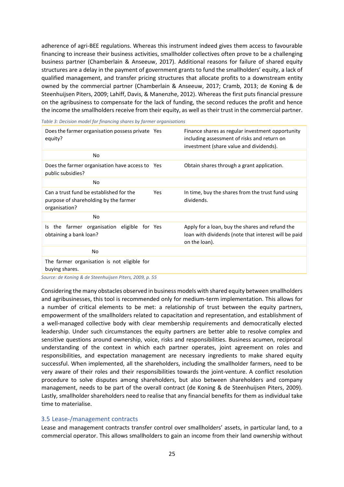adherence of agri-BEE regulations. Whereas this instrument indeed gives them access to favourable financing to increase their business activities, smallholder collectives often prove to be a challenging business partner (Chamberlain & Anseeuw, 2017). Additional reasons for failure of shared equity structures are a delay in the payment of government grants to fund the smallholders' equity, a lack of qualified management, and transfer pricing structures that allocate profits to a downstream entity owned by the commercial partner (Chamberlain & Anseeuw, 2017; Cramb, 2013; de Koning & de Steenhuijsen Piters, 2009; Lahiff, Davis, & Manenzhe, 2012). Whereas the first puts financial pressure on the agribusiness to compensate for the lack of funding, the second reduces the profit and hence the income the smallholders receive from their equity, as well as their trust in the commercial partner.

*Table 3: Decision model for financing shares by farmer organisations* 

| Does the farmer organisation possess private Yes<br>equity?                                       |     | Finance shares as regular investment opportunity<br>including assessment of risks and return on<br>investment (share value and dividends). |
|---------------------------------------------------------------------------------------------------|-----|--------------------------------------------------------------------------------------------------------------------------------------------|
| No.                                                                                               |     |                                                                                                                                            |
| Does the farmer organisation have access to Yes<br>public subsidies?                              |     | Obtain shares through a grant application.                                                                                                 |
| No                                                                                                |     |                                                                                                                                            |
| Can a trust fund be established for the<br>purpose of shareholding by the farmer<br>organisation? | Yes | In time, buy the shares from the trust fund using<br>dividends.                                                                            |
| No                                                                                                |     |                                                                                                                                            |
| the farmer organisation eligible for Yes<br>ls.<br>obtaining a bank loan?                         |     | Apply for a loan, buy the shares and refund the<br>loan with dividends (note that interest will be paid<br>on the loan).                   |
| No                                                                                                |     |                                                                                                                                            |
| The farmer organisation is not eligible for<br>buying shares.                                     |     |                                                                                                                                            |
|                                                                                                   |     |                                                                                                                                            |

*Source: de Koning & de Steenhuijsen Piters, 2009, p. 55* 

Considering the many obstacles observed in business models with shared equity between smallholders and agribusinesses, this tool is recommended only for medium-term implementation. This allows for a number of critical elements to be met: a relationship of trust between the equity partners, empowerment of the smallholders related to capacitation and representation, and establishment of a well-managed collective body with clear membership requirements and democratically elected leadership. Under such circumstances the equity partners are better able to resolve complex and sensitive questions around ownership, voice, risks and responsibilities. Business acumen, reciprocal understanding of the context in which each partner operates, joint agreement on roles and responsibilities, and expectation management are necessary ingredients to make shared equity successful. When implemented, all the shareholders, including the smallholder farmers, need to be very aware of their roles and their responsibilities towards the joint-venture. A conflict resolution procedure to solve disputes among shareholders, but also between shareholders and company management, needs to be part of the overall contract (de Koning & de Steenhuijsen Piters, 2009). Lastly, smallholder shareholders need to realise that any financial benefits for them as individual take time to materialise.

#### <span id="page-25-0"></span>3.5 Lease-/management contracts

Lease and management contracts transfer control over smallholders' assets, in particular land, to a commercial operator. This allows smallholders to gain an income from their land ownership without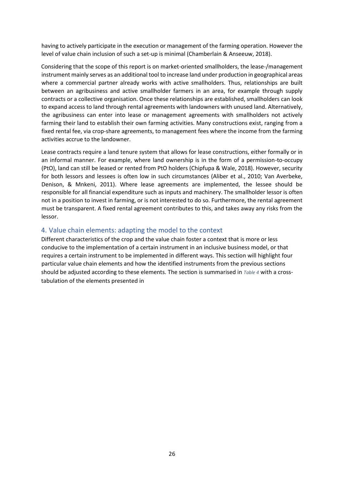having to actively participate in the execution or management of the farming operation. However the level of value chain inclusion of such a set-up is minimal (Chamberlain & Anseeuw, 2018).

Considering that the scope of this report is on market-oriented smallholders, the lease-/management instrument mainly serves as an additional tool to increase land under production in geographical areas where a commercial partner already works with active smallholders. Thus, relationships are built between an agribusiness and active smallholder farmers in an area, for example through supply contracts or a collective organisation. Once these relationships are established, smallholders can look to expand access to land through rental agreements with landowners with unused land. Alternatively, the agribusiness can enter into lease or management agreements with smallholders not actively farming their land to establish their own farming activities. Many constructions exist, ranging from a fixed rental fee, via crop-share agreements, to management fees where the income from the farming activities accrue to the landowner.

Lease contracts require a land tenure system that allows for lease constructions, either formally or in an informal manner. For example, where land ownership is in the form of a permission-to-occupy (PtO), land can still be leased or rented from PtO holders (Chipfupa & Wale, 2018). However, security for both lessors and lessees is often low in such circumstances (Aliber et al., 2010; Van Averbeke, Denison, & Mnkeni, 2011). Where lease agreements are implemented, the lessee should be responsible for all financial expenditure such as inputs and machinery. The smallholder lessor is often not in a position to invest in farming, or is not interested to do so. Furthermore, the rental agreement must be transparent. A fixed rental agreement contributes to this, and takes away any risks from the lessor.

## <span id="page-26-0"></span>4. Value chain elements: adapting the model to the context

Different characteristics of the crop and the value chain foster a context that is more or less conducive to the implementation of a certain instrument in an inclusive business model, or that requires a certain instrument to be implemented in different ways. This section will highlight four particular value chain elements and how the identified instruments from the previous sections should be adjusted according to these elements. The section is summarised in *Table 4* with a crosstabulation of the elements presented in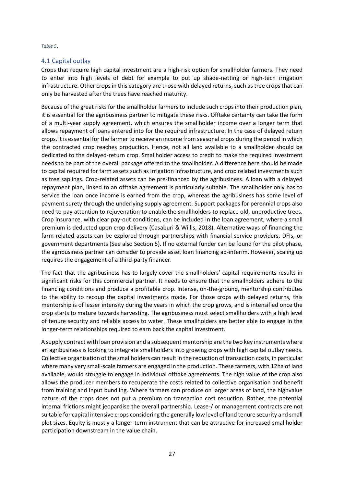*Table 5*.

#### <span id="page-27-0"></span>4.1 Capital outlay

Crops that require high capital investment are a high-risk option for smallholder farmers. They need to enter into high levels of debt for example to put up shade-netting or high-tech irrigation infrastructure. Other crops in this category are those with delayed returns, such as tree crops that can only be harvested after the trees have reached maturity.

Because of the great risks for the smallholder farmers to include such crops into their production plan, it is essential for the agribusiness partner to mitigate these risks. Offtake certainty can take the form of a multi-year supply agreement, which ensures the smallholder income over a longer term that allows repayment of loans entered into for the required infrastructure. In the case of delayed return crops, it is essential for the farmer to receive an income from seasonal crops during the period in which the contracted crop reaches production. Hence, not all land available to a smallholder should be dedicated to the delayed-return crop. Smallholder access to credit to make the required investment needs to be part of the overall package offered to the smallholder. A difference here should be made to capital required for farm assets such as irrigation infrastructure, and crop related investments such as tree saplings. Crop-related assets can be pre-financed by the agribusiness. A loan with a delayed repayment plan, linked to an offtake agreement is particularly suitable. The smallholder only has to service the loan once income is earned from the crop, whereas the agribusiness has some level of payment surety through the underlying supply agreement. Support packages for perennial crops also need to pay attention to rejuvenation to enable the smallholders to replace old, unproductive trees. Crop insurance, with clear pay-out conditions, can be included in the loan agreement, where a small premium is deducted upon crop delivery (Casaburi & Willis, 2018). Alternative ways of financing the farm-related assets can be explored through partnerships with financial service providers, DFIs, or government departments (See also Section 5). If no external funder can be found for the pilot phase, the agribusiness partner can consider to provide asset loan financing ad-interim. However, scaling up requires the engagement of a third-party financer.

The fact that the agribusiness has to largely cover the smallholders' capital requirements results in significant risks for this commercial partner. It needs to ensure that the smallholders adhere to the financing conditions and produce a profitable crop. Intense, on-the-ground, mentorship contributes to the ability to recoup the capital investments made. For those crops with delayed returns, this mentorship is of lesser intensity during the years in which the crop grows, and is intensified once the crop starts to mature towards harvesting. The agribusiness must select smallholders with a high level of tenure security and reliable access to water. These smallholders are better able to engage in the longer-term relationships required to earn back the capital investment.

A supply contract with loan provision and a subsequent mentorship are the two key instruments where an agribusiness is looking to integrate smallholders into growing crops with high capital outlay needs. Collective organisation of the smallholders can result in the reduction of transaction costs, in particular where many very small-scale farmers are engaged in the production. These farmers, with 12ha of land available, would struggle to engage in individual offtake agreements. The high value of the crop also allows the producer members to recuperate the costs related to collective organisation and benefit from training and input bundling. Where farmers can produce on larger areas of land, the highvalue nature of the crops does not put a premium on transaction cost reduction. Rather, the potential internal frictions might jeopardise the overall partnership. Lease-/ or management contracts are not suitable for capital intensive crops considering the generally low level of land tenure security and small plot sizes. Equity is mostly a longer-term instrument that can be attractive for increased smallholder participation downstream in the value chain.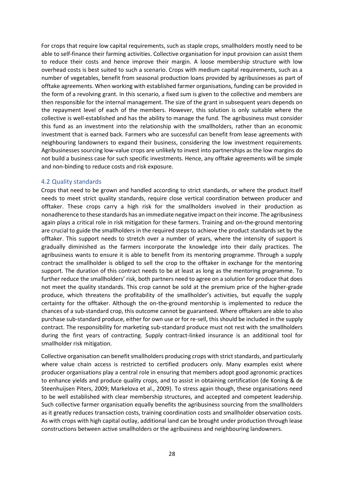For crops that require low capital requirements, such as staple crops, smallholders mostly need to be able to self-finance their farming activities. Collective organisation for input provision can assist them to reduce their costs and hence improve their margin. A loose membership structure with low overhead costs is best suited to such a scenario. Crops with medium capital requirements, such as a number of vegetables, benefit from seasonal production loans provided by agribusinesses as part of offtake agreements. When working with established farmer organisations, funding can be provided in the form of a revolving grant. In this scenario, a fixed sum is given to the collective and members are then responsible for the internal management. The size of the grant in subsequent years depends on the repayment level of each of the members. However, this solution is only suitable where the collective is well-established and has the ability to manage the fund. The agribusiness must consider this fund as an investment into the relationship with the smallholders, rather than an economic investment that is earned back. Farmers who are successful can benefit from lease agreements with neighbouring landowners to expand their business, considering the low investment requirements. Agribusinesses sourcing low-value crops are unlikely to invest into partnerships as the low margins do not build a business case for such specific investments. Hence, any offtake agreements will be simple and non-binding to reduce costs and risk exposure.

#### <span id="page-28-0"></span>4.2 Quality standards

Crops that need to be grown and handled according to strict standards, or where the product itself needs to meet strict quality standards, require close vertical coordination between producer and offtaker. These crops carry a high risk for the smallholders involved in their production as nonadherence to these standards has an immediate negative impact on their income. The agribusiness again plays a critical role in risk mitigation for these farmers. Training and on-the-ground mentoring are crucial to guide the smallholders in the required steps to achieve the product standards set by the offtaker. This support needs to stretch over a number of years, where the intensity of support is gradually diminished as the farmers incorporate the knowledge into their daily practices. The agribusiness wants to ensure it is able to benefit from its mentoring programme. Through a supply contract the smallholder is obliged to sell the crop to the offtaker in exchange for the mentoring support. The duration of this contract needs to be at least as long as the mentoring programme. To further reduce the smallholders' risk, both partners need to agree on a solution for produce that does not meet the quality standards. This crop cannot be sold at the premium price of the higher-grade produce, which threatens the profitability of the smallholder's activities, but equally the supply certainty for the offtaker. Although the on-the-ground mentorship is implemented to reduce the chances of a sub-standard crop, this outcome cannot be guaranteed. Where offtakers are able to also purchase sub-standard produce, either for own use or for re-sell, this should be included in the supply contract. The responsibility for marketing sub-standard produce must not rest with the smallholders during the first years of contracting. Supply contract-linked insurance is an additional tool for smallholder risk mitigation.

Collective organisation can benefit smallholders producing crops with strict standards, and particularly where value chain access is restricted to certified producers only. Many examples exist where producer organisations play a central role in ensuring that members adopt good agronomic practices to enhance yields and produce quality crops, and to assist in obtaining certification (de Koning & de Steenhuijsen Piters, 2009; Markelova et al., 2009). To stress again though, these organisations need to be well established with clear membership structures, and accepted and competent leadership. Such collective farmer organisation equally benefits the agribusiness sourcing from the smallholders as it greatly reduces transaction costs, training coordination costs and smallholder observation costs. As with crops with high capital outlay, additional land can be brought under production through lease constructions between active smallholders or the agribusiness and neighbouring landowners.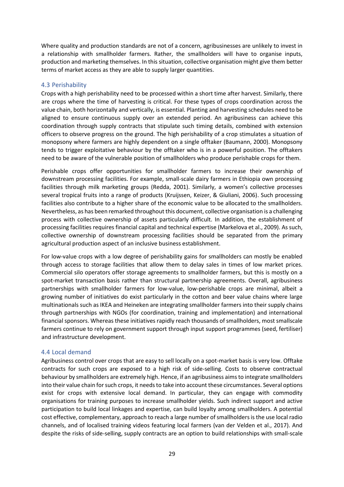Where quality and production standards are not of a concern, agribusinesses are unlikely to invest in a relationship with smallholder farmers. Rather, the smallholders will have to organise inputs, production and marketing themselves. In this situation, collective organisation might give them better terms of market access as they are able to supply larger quantities.

#### <span id="page-29-0"></span>4.3 Perishability

Crops with a high perishability need to be processed within a short time after harvest. Similarly, there are crops where the time of harvesting is critical. For these types of crops coordination across the value chain, both horizontally and vertically, is essential. Planting and harvesting schedules need to be aligned to ensure continuous supply over an extended period. An agribusiness can achieve this coordination through supply contracts that stipulate such timing details, combined with extension officers to observe progress on the ground. The high perishability of a crop stimulates a situation of monopsony where farmers are highly dependent on a single offtaker (Baumann, 2000). Monopsony tends to trigger exploitative behaviour by the offtaker who is in a powerful position. The offtakers need to be aware of the vulnerable position of smallholders who produce perishable crops for them.

Perishable crops offer opportunities for smallholder farmers to increase their ownership of downstream processing facilities. For example, small-scale dairy farmers in Ethiopia own processing facilities through milk marketing groups (Redda, 2001). Similarly, a women's collective processes several tropical fruits into a range of products (Kruijssen, Keizer, & Giuliani, 2006). Such processing facilities also contribute to a higher share of the economic value to be allocated to the smallholders. Nevertheless, as has been remarked throughout this document, collective organisation is a challenging process with collective ownership of assets particularly difficult. In addition, the establishment of processing facilities requires financial capital and technical expertise (Markelova et al., 2009). As such, collective ownership of downstream processing facilities should be separated from the primary agricultural production aspect of an inclusive business establishment.

For low-value crops with a low degree of perishability gains for smallholders can mostly be enabled through access to storage facilities that allow them to delay sales in times of low market prices. Commercial silo operators offer storage agreements to smallholder farmers, but this is mostly on a spot-market transaction basis rather than structural partnership agreements. Overall, agribusiness partnerships with smallholder farmers for low-value, low-perishable crops are minimal, albeit a growing number of initiatives do exist particularly in the cotton and beer value chains where large multinationals such as IKEA and Heineken are integrating smallholder farmers into their supply chains through partnerships with NGOs (for coordination, training and implementation) and international financial sponsors. Whereas these initiatives rapidly reach thousands of smallholders, most smallscale farmers continue to rely on government support through input support programmes (seed, fertiliser) and infrastructure development.

#### <span id="page-29-1"></span>4.4 Local demand

Agribusiness control over crops that are easy to sell locally on a spot-market basis is very low. Offtake contracts for such crops are exposed to a high risk of side-selling. Costs to observe contractual behaviour by smallholders are extremely high. Hence, if an agribusiness aims to integrate smallholders into their value chain for such crops, it needs to take into account these circumstances. Several options exist for crops with extensive local demand. In particular, they can engage with commodity organisations for training purposes to increase smallholder yields. Such indirect support and active participation to build local linkages and expertise, can build loyalty among smallholders. A potential cost effective, complementary, approach to reach a large number of smallholders is the use local radio channels, and of localised training videos featuring local farmers (van der Velden et al., 2017). And despite the risks of side-selling, supply contracts are an option to build relationships with small-scale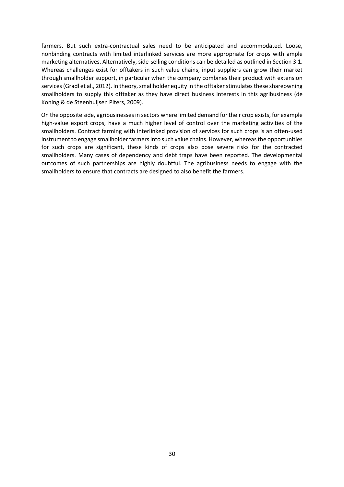farmers. But such extra-contractual sales need to be anticipated and accommodated. Loose, nonbinding contracts with limited interlinked services are more appropriate for crops with ample marketing alternatives. Alternatively, side-selling conditions can be detailed as outlined in Section 3.1. Whereas challenges exist for offtakers in such value chains, input suppliers can grow their market through smallholder support, in particular when the company combines their product with extension services (Gradl et al., 2012). In theory, smallholder equity in the offtaker stimulates these shareowning smallholders to supply this offtaker as they have direct business interests in this agribusiness (de Koning & de Steenhuijsen Piters, 2009).

On the opposite side, agribusinesses in sectors where limited demand for their crop exists, for example high-value export crops, have a much higher level of control over the marketing activities of the smallholders. Contract farming with interlinked provision of services for such crops is an often-used instrument to engage smallholder farmers into such value chains. However, whereas the opportunities for such crops are significant, these kinds of crops also pose severe risks for the contracted smallholders. Many cases of dependency and debt traps have been reported. The developmental outcomes of such partnerships are highly doubtful. The agribusiness needs to engage with the smallholders to ensure that contracts are designed to also benefit the farmers.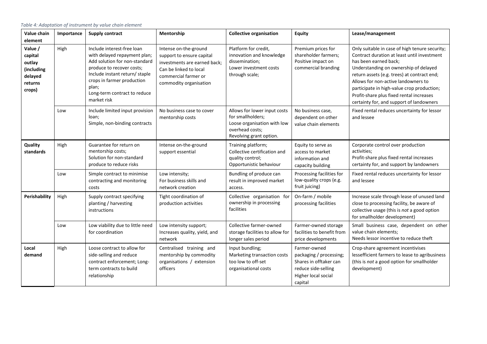| Value chain<br>element                                                                                                                                                                                                                                                                                                                                                                                                                                                                                   | Importance | <b>Supply contract</b>                                                                                                           | Mentorship                                                                                   | <b>Collective organisation</b>                                                                                                                                                                                                                                                                                                                                                              | <b>Equity</b>                                                                                                              | Lease/management                                                                                                                                                        |
|----------------------------------------------------------------------------------------------------------------------------------------------------------------------------------------------------------------------------------------------------------------------------------------------------------------------------------------------------------------------------------------------------------------------------------------------------------------------------------------------------------|------------|----------------------------------------------------------------------------------------------------------------------------------|----------------------------------------------------------------------------------------------|---------------------------------------------------------------------------------------------------------------------------------------------------------------------------------------------------------------------------------------------------------------------------------------------------------------------------------------------------------------------------------------------|----------------------------------------------------------------------------------------------------------------------------|-------------------------------------------------------------------------------------------------------------------------------------------------------------------------|
| High<br>Include interest-free loan<br>Intense on-the-ground<br>Value /<br>with delayed repayment plan;<br>capital<br>support to ensure capital<br>Add solution for non-standard<br>investments are earned back;<br>outlay<br>produce to recover costs;<br>Can be linked to local<br>(including<br>Include instant return/ staple<br>commercial farmer or<br>delayed<br>crops in farmer production<br>commodity organisation<br>returns<br>plan;<br>crops)<br>Long-term contract to reduce<br>market risk |            | Platform for credit,<br>innovation and knowledge<br>dissemination;<br>Lower investment costs<br>through scale;                   | Premium prices for<br>shareholder farmers;<br>Positive impact on<br>commercial branding      | Only suitable in case of high tenure security;<br>Contract duration at least until investment<br>has been earned back;<br>Understanding on ownership of delayed<br>return assets (e.g. trees) at contract end;<br>Allows for non-active landowners to<br>participate in high-value crop production;<br>Profit-share plus fixed rental increases<br>certainty for, and support of landowners |                                                                                                                            |                                                                                                                                                                         |
|                                                                                                                                                                                                                                                                                                                                                                                                                                                                                                          | Low        | Include limited input provision<br>loan:<br>Simple, non-binding contracts                                                        | No business case to cover<br>mentorship costs                                                | Allows for lower input costs<br>for smallholders;<br>Loose organisation with low<br>overhead costs;<br>Revolving grant option.                                                                                                                                                                                                                                                              | No business case,<br>dependent on other<br>value chain elements                                                            | Fixed rental reduces uncertainty for lessor<br>and lessee                                                                                                               |
| Quality<br>standards                                                                                                                                                                                                                                                                                                                                                                                                                                                                                     | High       | Guarantee for return on<br>mentorship costs;<br>Solution for non-standard<br>produce to reduce risks                             | Intense on-the-ground<br>support essential                                                   | Training platform;<br>Collective certification and<br>quality control;<br>Opportunistic behaviour                                                                                                                                                                                                                                                                                           | Equity to serve as<br>access to market<br>information and<br>capacity building                                             | Corporate control over production<br>activities;<br>Profit-share plus fixed rental increases<br>certainty for, and support by landowners                                |
|                                                                                                                                                                                                                                                                                                                                                                                                                                                                                                          | Low        | Simple contract to minimise<br>contracting and monitoring<br>costs                                                               | Low intensity;<br>For business skills and<br>network creation                                | Bundling of produce can<br>result in improved market<br>access.                                                                                                                                                                                                                                                                                                                             | Processing facilities for<br>low-quality crops (e.g.<br>fruit juicing)                                                     | Fixed rental reduces uncertainty for lessor<br>and lessee                                                                                                               |
| Perishability                                                                                                                                                                                                                                                                                                                                                                                                                                                                                            | High       | Supply contract specifying<br>planting / harvesting<br>instructions                                                              | Tight coordination of<br>production activities                                               | Collective organisation for<br>ownership in processing<br>facilities                                                                                                                                                                                                                                                                                                                        | On-farm / mobile<br>processing facilities                                                                                  | Increase scale through lease of unused land<br>close to processing facility, be aware of<br>collective usage (this is not a good option<br>for smallholder development) |
|                                                                                                                                                                                                                                                                                                                                                                                                                                                                                                          | Low        | Low viability due to little need<br>for coordination                                                                             | Low intensity support;<br>Increases quality, yield, and<br>network                           | Collective farmer-owned<br>storage facilities to allow for<br>longer sales period                                                                                                                                                                                                                                                                                                           | Farmer-owned storage<br>facilities to benefit from<br>price developments                                                   | Small business case, dependent on other<br>value chain elements;<br>Needs lessor incentive to reduce theft                                                              |
| Local<br>demand                                                                                                                                                                                                                                                                                                                                                                                                                                                                                          | High       | Loose contract to allow for<br>side-selling and reduce<br>contract enforcement; Long-<br>term contracts to build<br>relationship | Centralised training and<br>mentorship by commodity<br>organisations / extension<br>officers | Input bundling;<br>Marketing transaction costs<br>too low to off-set<br>organisational costs                                                                                                                                                                                                                                                                                                | Farmer-owned<br>packaging / processing;<br>Shares in offtaker can<br>reduce side-selling<br>Higher local social<br>capital | Crop-share agreement incentivises<br>lessefficient farmers to lease to agribusiness<br>(this is not a good option for smallholder<br>development)                       |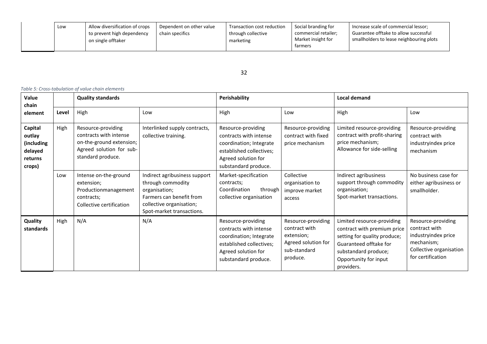| Low | Allow diversification of crops<br>to prevent high dependency<br>on single offtaker | Dependent on other value<br>chain specifics | Transaction cost reduction<br>through collective<br>marketing | Social branding for<br>commercial retailer;<br>Market insight for | Increase scale of commercial lessor;<br>Guarantee offtake to allow successful<br>smallholders to lease neighbouring plots |
|-----|------------------------------------------------------------------------------------|---------------------------------------------|---------------------------------------------------------------|-------------------------------------------------------------------|---------------------------------------------------------------------------------------------------------------------------|
|     |                                                                                    |                                             |                                                               | tarmers                                                           |                                                                                                                           |

#### 32

*Table 5: Cross-tabulation of value chain elements*

| Value<br>chain                                                  |       | <b>Quality standards</b>                                                                                                                                                           |                                                                                                                                                          | Perishability                                                                                                                                      |                                                                                                      | <b>Local demand</b>                                                                                                                                                                |                                                                                                                          |
|-----------------------------------------------------------------|-------|------------------------------------------------------------------------------------------------------------------------------------------------------------------------------------|----------------------------------------------------------------------------------------------------------------------------------------------------------|----------------------------------------------------------------------------------------------------------------------------------------------------|------------------------------------------------------------------------------------------------------|------------------------------------------------------------------------------------------------------------------------------------------------------------------------------------|--------------------------------------------------------------------------------------------------------------------------|
| element                                                         | Level | High                                                                                                                                                                               | Low                                                                                                                                                      | High                                                                                                                                               | Low                                                                                                  | High                                                                                                                                                                               | Low                                                                                                                      |
| Capital<br>outlay<br>(including<br>delayed<br>returns<br>crops) | High  | Resource-providing<br>Interlinked supply contracts,<br>contracts with intense<br>collective training.<br>on-the-ground extension;<br>Agreed solution for sub-<br>standard produce. |                                                                                                                                                          | Resource-providing<br>contracts with intense<br>coordination; Integrate<br>established collectives;<br>Agreed solution for<br>substandard produce. | Resource-providing<br>contract with fixed<br>price mechanism                                         | Limited resource-providing<br>contract with profit-sharing<br>price mechanism;<br>Allowance for side-selling                                                                       | Resource-providing<br>contract with<br>industryindex price<br>mechanism                                                  |
|                                                                 | Low   | Intense on-the-ground<br>extension;<br>Productionmanagement<br>contracts;<br>Collective certification                                                                              | Indirect agribusiness support<br>through commodity<br>organisation;<br>Farmers can benefit from<br>collective organisation;<br>Spot-market transactions. | Market-specification<br>contracts;<br>Coordination<br>through<br>collective organisation                                                           | Collective<br>organisation to<br>improve market<br>access                                            | Indirect agribusiness<br>support through commodity<br>organisation;<br>Spot-market transactions.                                                                                   | No business case for<br>either agribusiness or<br>smallholder.                                                           |
| Quality<br>standards                                            | High  | N/A                                                                                                                                                                                | N/A                                                                                                                                                      | Resource-providing<br>contracts with intense<br>coordination; Integrate<br>established collectives;<br>Agreed solution for<br>substandard produce. | Resource-providing<br>contract with<br>extension;<br>Agreed solution for<br>sub-standard<br>produce. | Limited resource-providing<br>contract with premium price<br>setting for quality produce;<br>Guaranteed offtake for<br>substandard produce;<br>Opportunity for input<br>providers. | Resource-providing<br>contract with<br>industryindex price<br>mechanism;<br>Collective organisation<br>for certification |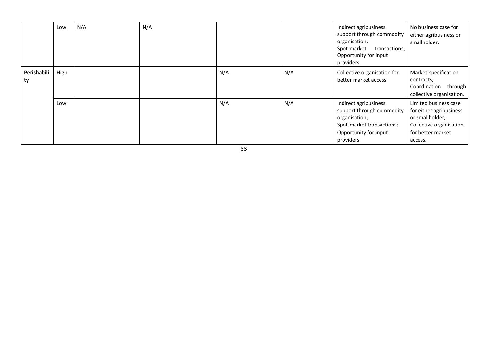|                   | Low  | N/A | N/A |     |     | Indirect agribusiness<br>support through commodity<br>organisation;<br>Spot-market<br>transactions;<br>Opportunity for input<br>providers | No business case for<br>either agribusiness or<br>smallholder.                                                                 |
|-------------------|------|-----|-----|-----|-----|-------------------------------------------------------------------------------------------------------------------------------------------|--------------------------------------------------------------------------------------------------------------------------------|
| Perishabili<br>ty | High |     |     | N/A | N/A | Collective organisation for<br>better market access                                                                                       | Market-specification<br>contracts;<br>Coordination through<br>collective organisation.                                         |
|                   | Low  |     |     | N/A | N/A | Indirect agribusiness<br>support through commodity<br>organisation;<br>Spot-market transactions;<br>Opportunity for input<br>providers    | Limited business case<br>for either agribusiness<br>or smallholder;<br>Collective organisation<br>for better market<br>access. |

33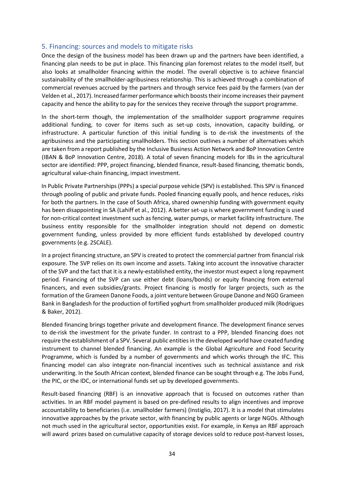#### <span id="page-34-0"></span>5. Financing: sources and models to mitigate risks

Once the design of the business model has been drawn up and the partners have been identified, a financing plan needs to be put in place. This financing plan foremost relates to the model itself, but also looks at smallholder financing within the model. The overall objective is to achieve financial sustainability of the smallholder-agribusiness relationship. This is achieved through a combination of commercial revenues accrued by the partners and through service fees paid by the farmers (van der Velden et al., 2017). Increased farmer performance which boosts their income increases their payment capacity and hence the ability to pay for the services they receive through the support programme.

In the short-term though, the implementation of the smallholder support programme requires additional funding, to cover for items such as set-up costs, innovation, capacity building, or infrastructure. A particular function of this initial funding is to de-risk the investments of the agribusiness and the participating smallholders. This section outlines a number of alternatives which are taken from a report published by the Inclusive Business Action Network and BoP Innovation Centre (IBAN & BoP Innovation Centre, 2018). A total of seven financing models for IBs in the agricultural sector are identified: PPP, project financing, blended finance, result-based financing, thematic bonds, agricultural value-chain financing, impact investment.

In Public Private Partnerships (PPPs) a special purpose vehicle (SPV) is established. This SPV is financed through pooling of public and private funds. Pooled financing equally pools, and hence reduces, risks for both the partners. In the case of South Africa, shared ownership funding with government equity has been disappointing in SA (Lahiff et al., 2012). A better set-up is where government funding is used for non-critical context investment such as fencing, water pumps, or market facility infrastructure. The business entity responsible for the smallholder integration should not depend on domestic government funding, unless provided by more efficient funds established by developed country governments (e.g. 2SCALE).

In a project financing structure, an SPV is created to protect the commercial partner from financial risk exposure. The SVP relies on its own income and assets. Taking into account the innovative character of the SVP and the fact that it is a newly-established entity, the investor must expect a long repayment period. Financing of the SVP can use either debt (loans/bonds) or equity financing from external financers, and even subsidies/grants. Project financing is mostly for larger projects, such as the formation of the Grameen Danone Foods, a joint venture between Groupe Danone and NGO Grameen Bank in Bangladesh for the production of fortified yoghurt from smallholder produced milk (Rodrigues & Baker, 2012).

Blended financing brings together private and development finance. The development finance serves to de-risk the investment for the private funder. In contrast to a PPP, blended financing does not require the establishment of a SPV. Several public entities in the developed world have created funding instrument to channel blended financing. An example is the Global Agriculture and Food Security Programme, which is funded by a number of governments and which works through the IFC. This financing model can also integrate non-financial incentives such as technical assistance and risk underwriting. In the South African context, blended finance can be sought through e.g. The Jobs Fund, the PIC, or the IDC, or international funds set up by developed governments.

Result-based financing (RBF) is an innovative approach that is focused on outcomes rather than activities. In an RBF model payment is based on pre-defined results to align incentives and improve accountability to beneficiaries (i.e. smallholder farmers) (Instiglio, 2017). It is a model that stimulates innovative approaches by the private sector, with financing by public agents or large NGOs. Although not much used in the agricultural sector, opportunities exist. For example, in Kenya an RBF approach will award prizes based on cumulative capacity of storage devices sold to reduce post-harvest losses,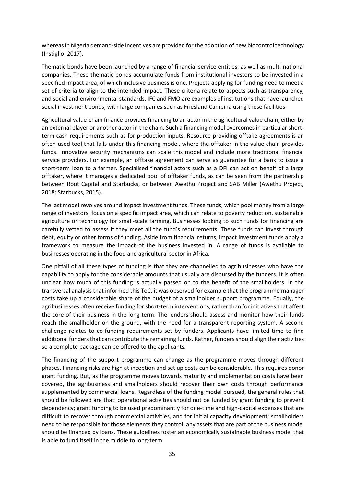whereas in Nigeria demand-side incentives are provided for the adoption of new biocontrol technology (Instiglio, 2017).

Thematic bonds have been launched by a range of financial service entities, as well as multi-national companies. These thematic bonds accumulate funds from institutional investors to be invested in a specified impact area, of which inclusive business is one. Projects applying for funding need to meet a set of criteria to align to the intended impact. These criteria relate to aspects such as transparency, and social and environmental standards. IFC and FMO are examples of institutions that have launched social investment bonds, with large companies such as Friesland Campina using these facilities.

Agricultural value-chain finance provides financing to an actor in the agricultural value chain, either by an external player or another actor in the chain. Such a financing model overcomes in particular shortterm cash requirements such as for production inputs. Resource-providing offtake agreements is an often-used tool that falls under this financing model, where the offtaker in the value chain provides funds. Innovative security mechanisms can scale this model and include more traditional financial service providers. For example, an offtake agreement can serve as guarantee for a bank to issue a short-term loan to a farmer. Specialised financial actors such as a DFI can act on behalf of a large offtaker, where it manages a dedicated pool of offtaker funds, as can be seen from the partnership between Root Capital and Starbucks, or between Awethu Project and SAB Miller (Awethu Project, 2018; Starbucks, 2015).

The last model revolves around impact investment funds. These funds, which pool money from a large range of investors, focus on a specific impact area, which can relate to poverty reduction, sustainable agriculture or technology for small-scale farming. Businesses looking to such funds for financing are carefully vetted to assess if they meet all the fund's requirements. These funds can invest through debt, equity or other forms of funding. Aside from financial returns, impact investment funds apply a framework to measure the impact of the business invested in. A range of funds is available to businesses operating in the food and agricultural sector in Africa.

One pitfall of all these types of funding is that they are channelled to agribusinesses who have the capability to apply for the considerable amounts that usually are disbursed by the funders. It is often unclear how much of this funding is actually passed on to the benefit of the smallholders. In the transversal analysis that informed this ToC, it was observed for example that the programme manager costs take up a considerable share of the budget of a smallholder support programme. Equally, the agribusinesses often receive funding for short-term interventions, rather than for initiatives that affect the core of their business in the long term. The lenders should assess and monitor how their funds reach the smallholder on-the-ground, with the need for a transparent reporting system. A second challenge relates to co-funding requirements set by funders. Applicants have limited time to find additional funders that can contribute the remaining funds. Rather, funders should align their activities so a complete package can be offered to the applicants.

The financing of the support programme can change as the programme moves through different phases. Financing risks are high at inception and set up costs can be considerable. This requires donor grant funding. But, as the programme moves towards maturity and implementation costs have been covered, the agribusiness and smallholders should recover their own costs through performance supplemented by commercial loans. Regardless of the funding model pursued, the general rules that should be followed are that: operational activities should not be funded by grant funding to prevent dependency; grant funding to be used predominantly for one-time and high-capital expenses that are difficult to recover through commercial activities, and for initial capacity development; smallholders need to be responsible for those elements they control; any assets that are part of the business model should be financed by loans. These guidelines foster an economically sustainable business model that is able to fund itself in the middle to long-term.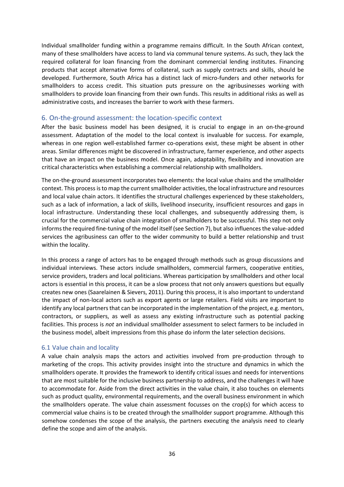Individual smallholder funding within a programme remains difficult. In the South African context, many of these smallholders have access to land via communal tenure systems. As such, they lack the required collateral for loan financing from the dominant commercial lending institutes. Financing products that accept alternative forms of collateral, such as supply contracts and skills, should be developed. Furthermore, South Africa has a distinct lack of micro-funders and other networks for smallholders to access credit. This situation puts pressure on the agribusinesses working with smallholders to provide loan financing from their own funds. This results in additional risks as well as administrative costs, and increases the barrier to work with these farmers.

#### <span id="page-36-0"></span>6. On-the-ground assessment: the location-specific context

After the basic business model has been designed, it is crucial to engage in an on-the-ground assessment. Adaptation of the model to the local context is invaluable for success. For example, whereas in one region well-established farmer co-operations exist, these might be absent in other areas. Similar differences might be discovered in infrastructure, farmer experience, and other aspects that have an impact on the business model. Once again, adaptability, flexibility and innovation are critical characteristics when establishing a commercial relationship with smallholders.

The on-the-ground assessment incorporates two elements: the local value chains and the smallholder context. This process is to map the current smallholder activities, the local infrastructure and resources and local value chain actors. It identifies the structural challenges experienced by these stakeholders, such as a lack of information, a lack of skills, livelihood insecurity, insufficient resources and gaps in local infrastructure. Understanding these local challenges, and subsequently addressing them, is crucial for the commercial value chain integration of smallholders to be successful. This step not only informs the required fine-tuning of the model itself (see Section 7), but also influences the value-added services the agribusiness can offer to the wider community to build a better relationship and trust within the locality.

In this process a range of actors has to be engaged through methods such as group discussions and individual interviews. These actors include smallholders, commercial farmers, cooperative entities, service providers, traders and local politicians. Whereas participation by smallholders and other local actors is essential in this process, it can be a slow process that not only answers questions but equally creates new ones (Saarelainen & Sievers, 2011). During this process, it is also important to understand the impact of non-local actors such as export agents or large retailers. Field visits are important to identify any local partners that can be incorporated in the implementation of the project, e.g. mentors, contractors, or suppliers, as well as assess any existing infrastructure such as potential packing facilities. This process is *not* an individual smallholder assessment to select farmers to be included in the business model, albeit impressions from this phase do inform the later selection decisions.

#### <span id="page-36-1"></span>6.1 Value chain and locality

A value chain analysis maps the actors and activities involved from pre-production through to marketing of the crops. This activity provides insight into the structure and dynamics in which the smallholders operate. It provides the framework to identify critical issues and needs for interventions that are most suitable for the inclusive business partnership to address, and the challenges it will have to accommodate for. Aside from the direct activities in the value chain, it also touches on elements such as product quality, environmental requirements, and the overall business environment in which the smallholders operate. The value chain assessment focusses on the crop(s) for which access to commercial value chains is to be created through the smallholder support programme. Although this somehow condenses the scope of the analysis, the partners executing the analysis need to clearly define the scope and aim of the analysis.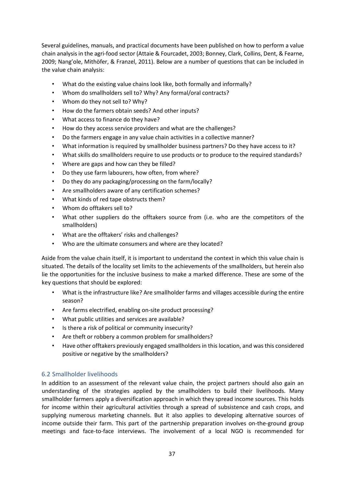Several guidelines, manuals, and practical documents have been published on how to perform a value chain analysis in the agri-food sector (Attaie & Fourcadet, 2003; Bonney, Clark, Collins, Dent, & Fearne, 2009; Nang'ole, Mithöfer, & Franzel, 2011). Below are a number of questions that can be included in the value chain analysis:

- What do the existing value chains look like, both formally and informally?
- Whom do smallholders sell to? Why? Any formal/oral contracts?
- Whom do they not sell to? Why?
- How do the farmers obtain seeds? And other inputs?
- What access to finance do they have?
- How do they access service providers and what are the challenges?
- Do the farmers engage in any value chain activities in a collective manner?
- What information is required by smallholder business partners? Do they have access to it?
- What skills do smallholders require to use products or to produce to the required standards?
- Where are gaps and how can they be filled?
- Do they use farm labourers, how often, from where?
- Do they do any packaging/processing on the farm/locally?
- Are smallholders aware of any certification schemes?
- What kinds of red tape obstructs them?
- Whom do offtakers sell to?
- What other suppliers do the offtakers source from (i.e. who are the competitors of the smallholders)
- What are the offtakers' risks and challenges?
- Who are the ultimate consumers and where are they located?

Aside from the value chain itself, it is important to understand the context in which this value chain is situated. The details of the locality set limits to the achievements of the smallholders, but herein also lie the opportunities for the inclusive business to make a marked difference. These are some of the key questions that should be explored:

- What is the infrastructure like? Are smallholder farms and villages accessible during the entire season?
- Are farms electrified, enabling on-site product processing?
- What public utilities and services are available?
- Is there a risk of political or community insecurity?
- Are theft or robbery a common problem for smallholders?
- Have other offtakers previously engaged smallholders in this location, and was this considered positive or negative by the smallholders?

#### <span id="page-37-0"></span>6.2 Smallholder livelihoods

In addition to an assessment of the relevant value chain, the project partners should also gain an understanding of the strategies applied by the smallholders to build their livelihoods. Many smallholder farmers apply a diversification approach in which they spread income sources. This holds for income within their agricultural activities through a spread of subsistence and cash crops, and supplying numerous marketing channels. But it also applies to developing alternative sources of income outside their farm. This part of the partnership preparation involves on-the-ground group meetings and face-to-face interviews. The involvement of a local NGO is recommended for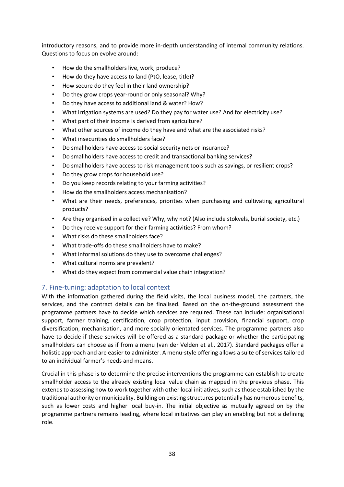introductory reasons, and to provide more in-depth understanding of internal community relations. Questions to focus on evolve around:

- How do the smallholders live, work, produce?
- How do they have access to land (PtO, lease, title)?
- How secure do they feel in their land ownership?
- Do they grow crops year-round or only seasonal? Why?
- Do they have access to additional land & water? How?
- What irrigation systems are used? Do they pay for water use? And for electricity use?
- What part of their income is derived from agriculture?
- What other sources of income do they have and what are the associated risks?
- What insecurities do smallholders face?
- Do smallholders have access to social security nets or insurance?
- Do smallholders have access to credit and transactional banking services?
- Do smallholders have access to risk management tools such as savings, or resilient crops?
- Do they grow crops for household use?
- Do you keep records relating to your farming activities?
- How do the smallholders access mechanisation?
- What are their needs, preferences, priorities when purchasing and cultivating agricultural products?
- Are they organised in a collective? Why, why not? (Also include stokvels, burial society, etc.)
- Do they receive support for their farming activities? From whom?
- What risks do these smallholders face?
- What trade-offs do these smallholders have to make?
- What informal solutions do they use to overcome challenges?
- What cultural norms are prevalent?
- What do they expect from commercial value chain integration?

## <span id="page-38-0"></span>7. Fine-tuning: adaptation to local context

With the information gathered during the field visits, the local business model, the partners, the services, and the contract details can be finalised. Based on the on-the-ground assessment the programme partners have to decide which services are required. These can include: organisational support, farmer training, certification, crop protection, input provision, financial support, crop diversification, mechanisation, and more socially orientated services. The programme partners also have to decide if these services will be offered as a standard package or whether the participating smallholders can choose as if from a menu (van der Velden et al., 2017). Standard packages offer a holistic approach and are easier to administer. A menu-style offering allows a suite of services tailored to an individual farmer's needs and means.

Crucial in this phase is to determine the precise interventions the programme can establish to create smallholder access to the already existing local value chain as mapped in the previous phase. This extends to assessing how to work together with other local initiatives, such as those established by the traditional authority or municipality. Building on existing structures potentially has numerous benefits, such as lower costs and higher local buy-in. The initial objective as mutually agreed on by the programme partners remains leading, where local initiatives can play an enabling but not a defining role.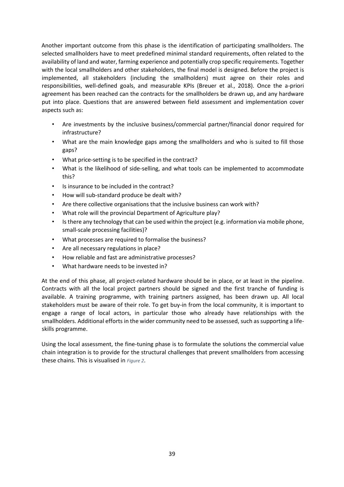Another important outcome from this phase is the identification of participating smallholders. The selected smallholders have to meet predefined minimal standard requirements, often related to the availability of land and water, farming experience and potentially crop specific requirements. Together with the local smallholders and other stakeholders, the final model is designed. Before the project is implemented, all stakeholders (including the smallholders) must agree on their roles and responsibilities, well-defined goals, and measurable KPIs (Breuer et al., 2018). Once the a-priori agreement has been reached can the contracts for the smallholders be drawn up, and any hardware put into place. Questions that are answered between field assessment and implementation cover aspects such as:

- Are investments by the inclusive business/commercial partner/financial donor required for infrastructure?
- What are the main knowledge gaps among the smallholders and who is suited to fill those gaps?
- What price-setting is to be specified in the contract?
- What is the likelihood of side-selling, and what tools can be implemented to accommodate this?
- Is insurance to be included in the contract?
- How will sub-standard produce be dealt with?
- Are there collective organisations that the inclusive business can work with?
- What role will the provincial Department of Agriculture play?
- Is there any technology that can be used within the project (e.g. information via mobile phone, small-scale processing facilities)?
- What processes are required to formalise the business?
- Are all necessary regulations in place?
- How reliable and fast are administrative processes?
- What hardware needs to be invested in?

At the end of this phase, all project-related hardware should be in place, or at least in the pipeline. Contracts with all the local project partners should be signed and the first tranche of funding is available. A training programme, with training partners assigned, has been drawn up. All local stakeholders must be aware of their role. To get buy-in from the local community, it is important to engage a range of local actors, in particular those who already have relationships with the smallholders. Additional efforts in the wider community need to be assessed, such as supporting a lifeskills programme.

Using the local assessment, the fine-tuning phase is to formulate the solutions the commercial value chain integration is to provide for the structural challenges that prevent smallholders from accessing these chains. This is visualised in *Figure 2*.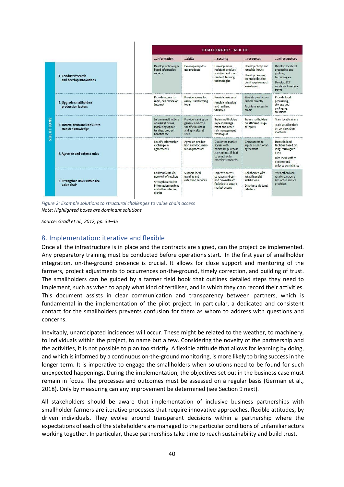|                                      |                                                       |                                                                                                                       | <b>CHALLENGES: LACK OF</b>                                                                  |                                                                                                                  |                                                                                                                  |                                                                                                                                       |  |  |  |
|--------------------------------------|-------------------------------------------------------|-----------------------------------------------------------------------------------------------------------------------|---------------------------------------------------------------------------------------------|------------------------------------------------------------------------------------------------------------------|------------------------------------------------------------------------------------------------------------------|---------------------------------------------------------------------------------------------------------------------------------------|--|--|--|
|                                      |                                                       | Information                                                                                                           | skills                                                                                      | security                                                                                                         | resources                                                                                                        | infrastructure                                                                                                                        |  |  |  |
| $\frac{5}{2}$<br>OLUTIO<br><b>in</b> | 1. Conduct research<br>and develop innovations        | Develop technology-<br>based information<br>services                                                                  | Develop easy-to-<br>use products                                                            | Develop more<br>resistant product<br>varieties and more<br>resilient farming<br>technologies                     | Develop cheap and<br>reusable inputs<br>Develop farming<br>technologies that<br>don't require much<br>investment | Develop localised<br>processing and<br>packing<br>technologies<br>Develop ICT<br>solutions to reduce<br>travel                        |  |  |  |
|                                      | 2. Upgrade smallholders'<br>production factors        | Provide access to<br>radio, cell phone or<br>Internet                                                                 | Provide access to<br>easily used farming<br>tools                                           | Provide insurance<br>Provide irrigation<br>and resilient<br>varieties                                            | Provide production<br>factors directly<br><b>Eacilitate access to</b><br>credit                                  | Provide local<br>processing.<br>storage and<br>packaging<br>solutions.                                                                |  |  |  |
|                                      | 3. Inform, train and consult to<br>transfer knowledge | Inform smallholders<br>of market prices.<br>marketing oppor-<br>tunities, product<br>benefits etc.                    | Provide training on<br>general and crop-<br>specific business<br>and agricultural<br>skills | Train smallholders<br>in pest manage-<br>ment and other<br>risk management<br>techniques                         | Train smallholders<br>on efficient usage<br>of inputs                                                            | <b>Train local trainers</b><br><b>Train smallholders</b><br>on conservation<br>methods                                                |  |  |  |
|                                      | 4. Agree on and enforce rules                         | Specify information<br>exchange in<br>agreements                                                                      | Agree on produc-<br>tion and documen-<br>tation processes                                   | Guarantee market<br>access with<br>minimum purchase<br>agreements, linked<br>to smallholder<br>meeting standards | Grant access to<br>inputs as part of an<br>agreement                                                             | <b>Invest in local</b><br>facilities hased on<br>long-term agree-<br>ment<br>Hire local staff to<br>monitor and<br>enforce compliance |  |  |  |
|                                      | 5. Strengthen links within the<br>value chain         | Communicate via<br>network of retailers<br>Strengthen market<br>information services<br>and other interme-<br>diaries | Support local<br>training and<br>extension services                                         | Improve access<br>to roads and up-<br>and downstream<br>facilities to ensure<br>market access                    | Collaborate with<br>local financial<br><i>institutions</i><br>Distribute via local<br>retailers                  | Strengthen local<br>retailers, traders<br>and other service<br>providers                                                              |  |  |  |

*Figure 2: Example solutions to structural challenges to value chain access Note: Highlighted boxes are dominant solutions* 

*Source: Gradl et al., 2012, pp. 34–35* 

## <span id="page-40-0"></span>8. Implementation: iterative and flexible

Once all the infrastructure is in place and the contracts are signed, can the project be implemented. Any preparatory training must be conducted before operations start. In the first year of smallholder integration, on-the-ground presence is crucial. It allows for close support and mentoring of the farmers, project adjustments to occurrences on-the-ground, timely correction, and building of trust. The smallholders can be guided by a farmer field book that outlines detailed steps they need to implement, such as when to apply what kind of fertiliser, and in which they can record their activities. This document assists in clear communication and transparency between partners, which is fundamental in the implementation of the pilot project. In particular, a dedicated and consistent contact for the smallholders prevents confusion for them as whom to address with questions and concerns.

Inevitably, unanticipated incidences will occur. These might be related to the weather, to machinery, to individuals within the project, to name but a few. Considering the novelty of the partnership and the activities, it is not possible to plan too strictly. A flexible attitude that allows for learning by doing, and which is informed by a continuous on-the-ground monitoring, is more likely to bring success in the longer term. It is imperative to engage the smallholders when solutions need to be found for such unexpected happenings. During the implementation, the objectives set out in the business case must remain in focus. The processes and outcomes must be assessed on a regular basis (German et al., 2018). Only by measuring can any improvement be determined (see Section 9 next).

All stakeholders should be aware that implementation of inclusive business partnerships with smallholder farmers are iterative processes that require innovative approaches, flexible attitudes, by driven individuals. They evolve around transparent decisions within a partnership where the expectations of each of the stakeholders are managed to the particular conditions of unfamiliar actors working together. In particular, these partnerships take time to reach sustainability and build trust.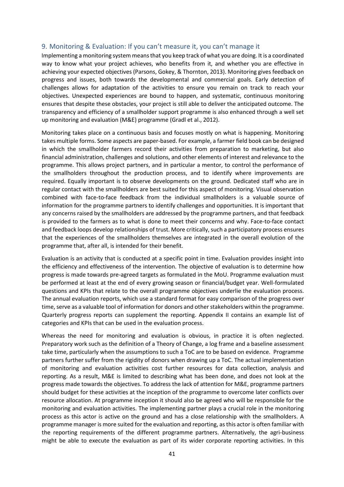#### <span id="page-41-0"></span>9. Monitoring & Evaluation: If you can't measure it, you can't manage it

Implementing a monitoring system means that you keep track of what you are doing. It is a coordinated way to know what your project achieves, who benefits from it, and whether you are effective in achieving your expected objectives (Parsons, Gokey, & Thornton, 2013). Monitoring gives feedback on progress and issues, both towards the developmental and commercial goals. Early detection of challenges allows for adaptation of the activities to ensure you remain on track to reach your objectives. Unexpected experiences are bound to happen, and systematic, continuous monitoring ensures that despite these obstacles, your project is still able to deliver the anticipated outcome. The transparency and efficiency of a smallholder support programme is also enhanced through a well set up monitoring and evaluation (M&E) programme (Gradl et al., 2012).

Monitoring takes place on a continuous basis and focuses mostly on what is happening. Monitoring takes multiple forms. Some aspects are paper-based. For example, a farmer field book can be designed in which the smallholder farmers record their activities from preparation to marketing, but also financial administration, challenges and solutions, and other elements of interest and relevance to the programme. This allows project partners, and in particular a mentor, to control the performance of the smallholders throughout the production process, and to identify where improvements are required. Equally important is to observe developments on the ground. Dedicated staff who are in regular contact with the smallholders are best suited for this aspect of monitoring. Visual observation combined with face-to-face feedback from the individual smallholders is a valuable source of information for the programme partners to identify challenges and opportunities. It is important that any concerns raised by the smallholders are addressed by the programme partners, and that feedback is provided to the farmers as to what is done to meet their concerns and why. Face-to-face contact and feedback loops develop relationships of trust. More critically, such a participatory process ensures that the experiences of the smallholders themselves are integrated in the overall evolution of the programme that, after all, is intended for their benefit.

Evaluation is an activity that is conducted at a specific point in time. Evaluation provides insight into the efficiency and effectiveness of the intervention. The objective of evaluation is to determine how progress is made towards pre-agreed targets as formulated in the MoU. Programme evaluation must be performed at least at the end of every growing season or financial/budget year. Well-formulated questions and KPIs that relate to the overall programme objectives underlie the evaluation process. The annual evaluation reports, which use a standard format for easy comparison of the progress over time, serve as a valuable tool of information for donors and other stakeholders within the programme. Quarterly progress reports can supplement the reporting. Appendix II contains an example list of categories and KPIs that can be used in the evaluation process.

Whereas the need for monitoring and evaluation is obvious, in practice it is often neglected. Preparatory work such as the definition of a Theory of Change, a log frame and a baseline assessment take time, particularly when the assumptions to such a ToC are to be based on evidence. Programme partners further suffer from the rigidity of donors when drawing up a ToC. The actual implementation of monitoring and evaluation activities cost further resources for data collection, analysis and reporting. As a result, M&E is limited to describing what has been done, and does not look at the progress made towards the objectives. To address the lack of attention for M&E, programme partners should budget for these activities at the inception of the programme to overcome later conflicts over resource allocation. At programme inception it should also be agreed who will be responsible for the monitoring and evaluation activities. The implementing partner plays a crucial role in the monitoring process as this actor is active on the ground and has a close relationship with the smallholders. A programme manager is more suited for the evaluation and reporting, as this actor is often familiar with the reporting requirements of the different programme partners. Alternatively, the agri-business might be able to execute the evaluation as part of its wider corporate reporting activities. In this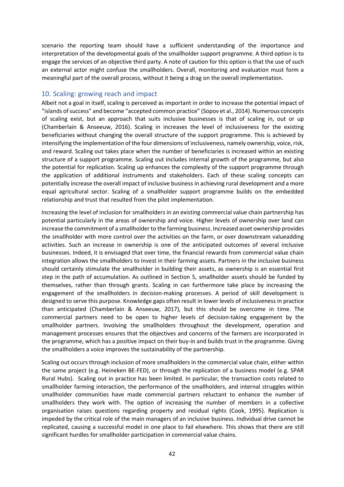scenario the reporting team should have a sufficient understanding of the importance and interpretation of the developmental goals of the smallholder support programme. A third option is to engage the services of an objective third party. A note of caution for this option is that the use of such an external actor might confuse the smallholders. Overall, monitoring and evaluation must form a meaningful part of the overall process, without it being a drag on the overall implementation.

### <span id="page-42-0"></span>10. Scaling: growing reach and impact

Albeit not a goal in itself, scaling is perceived as important in order to increase the potential impact of "islands of success" and become "accepted common practice" (Sopov et al., 2014). Numerous concepts of scaling exist, but an approach that suits inclusive businesses is that of scaling in, out or up (Chamberlain & Anseeuw, 2016). Scaling in increases the level of inclusiveness for the existing beneficiaries without changing the overall structure of the support programme. This is achieved by intensifying the implementation of the four dimensions of inclusiveness, namely ownership, voice, risk, and reward. Scaling out takes place when the number of beneficiaries is increased within an existing structure of a support programme. Scaling out includes internal growth of the programme, but also the potential for replication. Scaling up enhances the complexity of the support programme through the application of additional instruments and stakeholders. Each of these scaling concepts can potentially increase the overall impact of inclusive business in achieving rural development and a more equal agricultural sector. Scaling of a smallholder support programme builds on the embedded relationship and trust that resulted from the pilot implementation.

Increasing the level of inclusion for smallholders in an existing commercial value chain partnership has potential particularly in the areas of ownership and voice. Higher levels of ownership over land can increase the commitment of a smallholder to the farming business. Increased asset ownership provides the smallholder with more control over the activities on the farm, or over downstream valueadding activities. Such an increase in ownership is one of the anticipated outcomes of several inclusive businesses. Indeed, it is envisaged that over time, the financial rewards from commercial value chain integration allows the smallholders to invest in their farming assets. Partners in the inclusive business should certainly stimulate the smallholder in building their assets, as ownership is an essential first step in the path of accumulation. As outlined in Section 5, smallholder assets should be funded by themselves, rather than through grants. Scaling in can furthermore take place by increasing the engagement of the smallholders in decision-making processes. A period of skill development is designed to serve this purpose. Knowledge gaps often result in lower levels of inclusiveness in practice than anticipated (Chamberlain & Anseeuw, 2017), but this should be overcome in time. The commercial partners need to be open to higher levels of decision-taking engagement by the smallholder partners. Involving the smallholders throughout the development, operation and management processes ensures that the objectives and concerns of the farmers are incorporated in the programme, which has a positive impact on their buy-in and builds trust in the programme. Giving the smallholders a voice improves the sustainability of the partnership.

Scaling out occurs through inclusion of more smallholders in the commercial value chain, either within the same project (e.g. Heineken BE-FED), or through the replication of a business model (e.g. SPAR Rural Hubs). Scaling out in practice has been limited. In particular, the transaction costs related to smallholder farming interaction, the performance of the smallholders, and internal struggles within smallholder communities have made commercial partners reluctant to enhance the number of smallholders they work with. The option of increasing the number of members in a collective organisation raises questions regarding property and residual rights (Cook, 1995). Replication is impeded by the critical role of the main managers of an inclusive business. Individual drive cannot be replicated, causing a successful model in one place to fail elsewhere. This shows that there are still significant hurdles for smallholder participation in commercial value chains.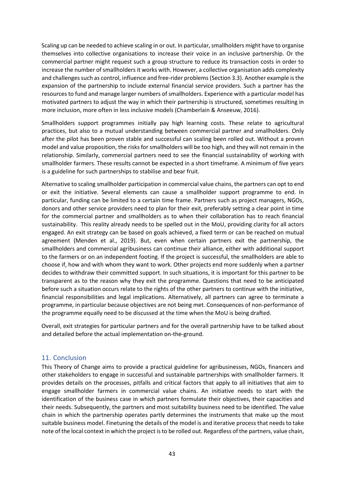Scaling up can be needed to achieve scaling in or out. In particular, smallholders might have to organise themselves into collective organisations to increase their voice in an inclusive partnership. Or the commercial partner might request such a group structure to reduce its transaction costs in order to increase the number of smallholders it works with. However, a collective organisation adds complexity and challenges such as control, influence and free-rider problems (Section 3.3). Another example is the expansion of the partnership to include external financial service providers. Such a partner has the resources to fund and manage larger numbers of smallholders. Experience with a particular model has motivated partners to adjust the way in which their partnership is structured, sometimes resulting in more inclusion, more often in less inclusive models (Chamberlain & Anseeuw, 2016).

Smallholders support programmes initially pay high learning costs. These relate to agricultural practices, but also to a mutual understanding between commercial partner and smallholders. Only after the pilot has been proven stable and successful can scaling been rolled out. Without a proven model and value proposition, the risks for smallholders will be too high, and they will not remain in the relationship. Similarly, commercial partners need to see the financial sustainability of working with smallholder farmers. These results cannot be expected in a short timeframe. A minimum of five years is a guideline for such partnerships to stabilise and bear fruit.

Alternative to scaling smallholder participation in commercial value chains, the partners can opt to end or exit the initiative. Several elements can cause a smallholder support programme to end. In particular, funding can be limited to a certain time frame. Partners such as project managers, NGOs, donors and other service providers need to plan for their exit, preferably setting a clear point in time for the commercial partner and smallholders as to when their collaboration has to reach financial sustainability. This reality already needs to be spelled out in the MoU, providing clarity for all actors engaged. An exit strategy can be based on goals achieved, a fixed term or can be reached on mutual agreement (Menden et al., 2019). But, even when certain partners exit the partnership, the smallholders and commercial agribusiness can continue their alliance, either with additional support to the farmers or on an independent footing. If the project is successful, the smallholders are able to choose if, how and with whom they want to work. Other projects end more suddenly when a partner decides to withdraw their committed support. In such situations, it is important for this partner to be transparent as to the reason why they exit the programme. Questions that need to be anticipated before such a situation occurs relate to the rights of the other partners to continue with the initiative, financial responsibilities and legal implications. Alternatively, all partners can agree to terminate a programme, in particular because objectives are not being met. Consequences of non-performance of the programme equally need to be discussed at the time when the MoU is being drafted.

Overall, exit strategies for particular partners and for the overall partnership have to be talked about and detailed before the actual implementation on-the-ground.

#### <span id="page-43-0"></span>11. Conclusion

This Theory of Change aims to provide a practical guideline for agribusinesses, NGOs, financers and other stakeholders to engage in successful and sustainable partnerships with smallholder farmers. It provides details on the processes, pitfalls and critical factors that apply to all initiatives that aim to engage smallholder farmers in commercial value chains. An initiative needs to start with the identification of the business case in which partners formulate their objectives, their capacities and their needs. Subsequently, the partners and most suitability business need to be identified. The value chain in which the partnership operates partly determines the instruments that make up the most suitable business model. Finetuning the details of the model is and iterative process that needs to take note of the local context in which the project is to be rolled out. Regardless of the partners, value chain,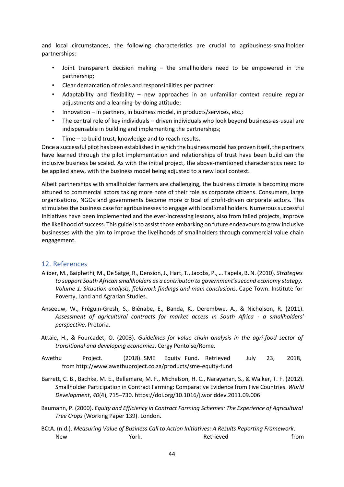and local circumstances, the following characteristics are crucial to agribusiness-smallholder partnerships:

- Joint transparent decision making  $-$  the smallholders need to be empowered in the partnership;
- Clear demarcation of roles and responsibilities per partner;
- Adaptability and flexibility  $-$  new approaches in an unfamiliar context require regular adjustments and a learning-by-doing attitude;
- Innovation in partners, in business model, in products/services, etc.;
- The central role of key individuals driven individuals who look beyond business-as-usual are indispensable in building and implementing the partnerships;
- Time to build trust, knowledge and to reach results.

Once a successful pilot has been established in which the business model has proven itself, the partners have learned through the pilot implementation and relationships of trust have been build can the inclusive business be scaled. As with the initial project, the above-mentioned characteristics need to be applied anew, with the business model being adjusted to a new local context.

Albeit partnerships with smallholder farmers are challenging, the business climate is becoming more attuned to commercial actors taking more note of their role as corporate citizens. Consumers, large organisations, NGOs and governments become more critical of profit-driven corporate actors. This stimulates the business case for agribusinesses to engage with local smallholders. Numerous successful initiatives have been implemented and the ever-increasing lessons, also from failed projects, improve the likelihood of success. This guide is to assist those embarking on future endeavours to grow inclusive businesses with the aim to improve the livelihoods of smallholders through commercial value chain engagement.

#### <span id="page-44-0"></span>12. References

- Aliber, M., Baiphethi, M., De Satge, R., Dension, J., Hart, T., Jacobs, P., … Tapela, B. N. (2010). *Strategies to support South African smallholders as a contributon to government's second economy stategy. Volume 1: Situation analysis, fieldwork findings and main conclusions*. Cape Town: Institute for Poverty, Land and Agrarian Studies.
- Anseeuw, W., Fréguin-Gresh, S., Biénabe, E., Banda, K., Derembwe, A., & Nicholson, R. (2011). *Assessment of agricultural contracts for market access in South Africa - a smallholders' perspective*. Pretoria.
- Attaie, H., & Fourcadet, O. (2003). *Guidelines for value chain analysis in the agri-food sector of transitional and developing economies*. Cergy Pontoise/Rome.
- Awethu Project. (2018). SME Equity Fund. Retrieved July 23, 2018, from http://www.awethuproject.co.za/products/sme-equity-fund
- Barrett, C. B., Bachke, M. E., Bellemare, M. F., Michelson, H. C., Narayanan, S., & Walker, T. F. (2012). Smallholder Participation in Contract Farming: Comparative Evidence from Five Countries. *World Development*, *40*(4), 715–730. https://doi.org/10.1016/j.worlddev.2011.09.006
- Baumann, P. (2000). *Equity and Efficiency in Contract Farming Schemes: The Experience of Agricultural Tree Crops* (Working Paper 139). London.
- BCtA. (n.d.). *Measuring Value of Business Call to Action Initiatives: A Results Reporting Framework*. New **New Solution Contract Contract Contract Contract Contract Contract Contract Contract Contract Contract Contract Contract Contract Contract Contract Contract Contract Contract Contract Contract Contract Contract Contra**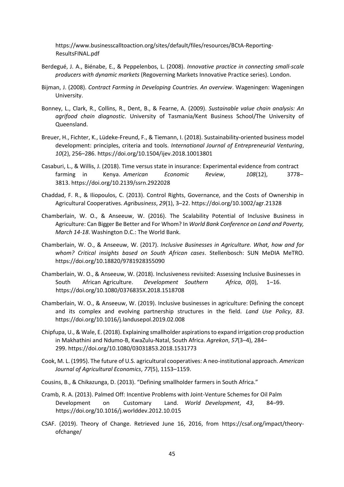https://www.businesscalltoaction.org/sites/default/files/resources/BCtA-Reporting-ResultsFINAL.pdf

- Berdegué, J. A., Biénabe, E., & Peppelenbos, L. (2008). *Innovative practice in connecting small-scale producers with dynamic markets* (Regoverning Markets Innovative Practice series). London.
- Bijman, J. (2008). *Contract Farming in Developing Countries. An overview*. Wageningen: Wageningen University.
- Bonney, L., Clark, R., Collins, R., Dent, B., & Fearne, A. (2009). *Sustainable value chain analysis: An agrifood chain diagnostic*. University of Tasmania/Kent Business School/The University of Queensland.
- Breuer, H., Fichter, K., Lüdeke-Freund, F., & Tiemann, I. (2018). Sustainability-oriented business model development: principles, criteria and tools. *International Journal of Entrepreneurial Venturing*, *10*(2), 256–286. https://doi.org/10.1504/ijev.2018.10013801
- Casaburi, L., & Willis, J. (2018). Time versus state in insurance: Experimental evidence from contract farming in Kenya. *American Economic Review*, *108*(12), 3778– 3813. https://doi.org/10.2139/ssrn.2922028
- Chaddad, F. R., & Iliopoulos, C. (2013). Control Rights, Governance, and the Costs of Ownership in Agricultural Cooperatives. *Agribusiness*, *29*(1), 3–22. https://doi.org/10.1002/agr.21328
- Chamberlain, W. O., & Anseeuw, W. (2016). The Scalability Potential of Inclusive Business in Agriculture: Can Bigger Be Better and For Whom? In *World Bank Conference on Land and Poverty, March 14-18*. Washington D.C.: The World Bank.
- Chamberlain, W. O., & Anseeuw, W. (2017). *Inclusive Businesses in Agriculture. What, how and for whom? Critical insights based on South African cases*. Stellenbosch: SUN MeDIA MeTRO. https://doi.org/10.18820/9781928355090
- Chamberlain, W. O., & Anseeuw, W. (2018). Inclusiveness revisited: Assessing Inclusive Businesses in South African Agriculture. *Development Southern Africa*, *0*(0), 1–16. https://doi.org/10.1080/0376835X.2018.1518708
- Chamberlain, W. O., & Anseeuw, W. (2019). Inclusive businesses in agriculture: Defining the concept and its complex and evolving partnership structures in the field. *Land Use Policy*, *83*. https://doi.org/10.1016/j.landusepol.2019.02.008
- Chipfupa, U., & Wale, E. (2018). Explaining smallholder aspirations to expand irrigation crop production in Makhathini and Ndumo-B, KwaZulu-Natal, South Africa. *Agrekon*, *57*(3–4), 284– 299. https://doi.org/10.1080/03031853.2018.1531773
- Cook, M. L. (1995). The future of U.S. agricultural cooperatives: A neo-institutional approach. *American Journal of Agricultural Economics*, *77*(5), 1153–1159.
- Cousins, B., & Chikazunga, D. (2013). "Defining smallholder farmers in South Africa."
- Cramb, R. A. (2013). Palmed Off: Incentive Problems with Joint-Venture Schemes for Oil Palm Development on Customary Land. *World Development*, *43*, 84–99. https://doi.org/10.1016/j.worlddev.2012.10.015
- CSAF. (2019). Theory of Change. Retrieved June 16, 2016, from https://csaf.org/impact/theoryofchange/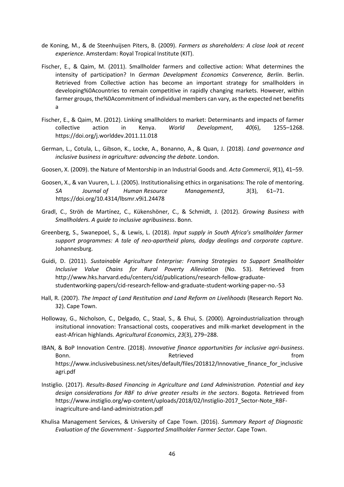- de Koning, M., & de Steenhuijsen Piters, B. (2009). *Farmers as shareholders: A close look at recent experience*. Amsterdam: Royal Tropical Institute (KIT).
- Fischer, E., & Qaim, M. (2011). Smallholder farmers and collective action: What determines the intensity of participation? In *German Development Economics Converence, Berlin*. Berlin. Retrieved from Collective action has become an important strategy for smallholders in developing%0Acountries to remain competitive in rapidly changing markets. However, within farmer groups, the%0Acommitment of individual members can vary, as the expected net benefits a
- Fischer, E., & Qaim, M. (2012). Linking smallholders to market: Determinants and impacts of farmer collective action in Kenya. *World Development*, *40*(6), 1255–1268. https://doi.org/j.worlddev.2011.11.018
- German, L., Cotula, L., Gibson, K., Locke, A., Bonanno, A., & Quan, J. (2018). *Land governance and inclusive business in agriculture: advancing the debate*. London.
- Goosen, X. (2009). the Nature of Mentorship in an Industrial Goods and. *Acta Commercii*, *9*(1), 41–59.
- Goosen, X., & van Vuuren, L. J. (2005). Institutionalising ethics in organisations: The role of mentoring. *SA Journal of Human Resource Management3*, *3*(3), 61–71. https://doi.org/10.4314/lbsmr.v9i1.24478
- Gradl, C., Ströh de Martínez, C., Kükenshöner, C., & Schmidt, J. (2012). *Growing Business with Smallholders. A guide to inclusive agribusiness*. Bonn.
- Greenberg, S., Swanepoel, S., & Lewis, L. (2018). *Input supply in South Africa's smallholder farmer support programmes: A tale of neo-apartheid plans, dodgy dealings and corporate capture*. Johannesburg.
- Guidi, D. (2011). *Sustainable Agriculture Enterprise: Framing Strategies to Support Smallholder Inclusive Value Chains for Rural Poverty Alleviation* (No. 53). Retrieved from http://www.hks.harvard.edu/centers/cid/publications/research-fellow-graduatestudentworking-papers/cid-research-fellow-and-graduate-student-working-paper-no.-53
- Hall, R. (2007). *The Impact of Land Restitution and Land Reform on Livelihoods* (Research Report No. 32). Cape Town.
- Holloway, G., Nicholson, C., Delgado, C., Staal, S., & Ehui, S. (2000). Agroindustrialization through insitutional innovation: Transactional costs, cooperatives and milk-market development in the east-African highlands. *Agricultural Economics*, *23*(3), 279–288.
- IBAN, & BoP Innovation Centre. (2018). *Innovative finance opportunities for inclusive agri-business*. Bonn. The contract of the contract of the Retrieved contract of the from the from https://www.inclusivebusiness.net/sites/default/files/201812/Innovative\_finance\_for\_inclusive agri.pdf
- Instiglio. (2017). *Results-Based Financing in Agriculture and Land Administration. Potential and key design considerations for RBF to drive greater results in the sectors*. Bogota. Retrieved from https://www.instiglio.org/wp-content/uploads/2018/02/Instiglio-2017\_Sector-Note\_RBFinagriculture-and-land-administration.pdf
- Khulisa Management Services, & University of Cape Town. (2016). *Summary Report of Diagnostic Evaluation of the Government - Supported Smallholder Farmer Sector*. Cape Town.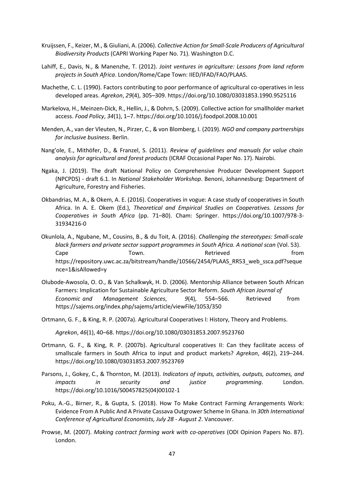- Kruijssen, F., Keizer, M., & Giuliani, A. (2006). *Collective Action for Small-Scale Producers of Agricultural Biodiversity Products* (CAPRI Working Paper No. 71). Washington D.C.
- Lahiff, E., Davis, N., & Manenzhe, T. (2012). *Joint ventures in agriculture: Lessons from land reform projects in South Africa*. London/Rome/Cape Town: IIED/IFAD/FAO/PLAAS.
- Machethe, C. L. (1990). Factors contributing to poor performance of agricultural co-operatives in less developed areas. *Agrekon*, *29*(4), 305–309. https://doi.org/10.1080/03031853.1990.9525116
- Markelova, H., Meinzen-Dick, R., Hellin, J., & Dohrn, S. (2009). Collective action for smallholder market access. *Food Policy*, *34*(1), 1–7. https://doi.org/10.1016/j.foodpol.2008.10.001
- Menden, A., van der Vleuten, N., Pirzer, C., & von Blomberg, I. (2019). *NGO and company partnerships for inclusive business*. Berlin.
- Nang'ole, E., Mithöfer, D., & Franzel, S. (2011). *Review of guidelines and manuals for value chain analysis for agricultural and forest products* (ICRAF Occasional Paper No. 17). Nairobi.
- Ngaka, J. (2019). The draft National Policy on Comprehensive Producer Development Support (NPCPDS) - draft 6.1. In *National Stakeholder Workshop*. Benoni, Johannesburg: Department of Agriculture, Forestry and Fisheries.
- Okbandrias, M. A., & Okem, A. E. (2016). Cooperatives in vogue: A case study of cooperatives in South Africa. In A. E. Okem (Ed.), *Theoretical and Empirical Studies on Cooperatives. Lessons for Cooperatives in South Africa* (pp. 71–80). Cham: Springer. https://doi.org/10.1007/978-3- 31934216-0
- Okunlola, A., Ngubane, M., Cousins, B., & du Toit, A. (2016). *Challenging the stereotypes: Small-scale black farmers and private sector support programmes in South Africa. A national scan* (Vol. 53). Cape Town. Cape Town. Cape Town. https://repository.uwc.ac.za/bitstream/handle/10566/2454/PLAAS\_RR53\_web\_ssca.pdf?seque nce=1&isAllowed=y
- Olubode-Awosola, O. O., & Van Schalkwyk, H. D. (2006). Mentorship Alliance between South African Farmers: Implication for Sustainable Agriculture Sector Reform. *South African Journal of Economic and Management Sciences*, *9*(4), 554–566. Retrieved from https://sajems.org/index.php/sajems/article/viewFile/1053/350
- Ortmann, G. F., & King, R. P. (2007a). Agricultural Cooperatives I: History, Theory and Problems.

*Agrekon*, *46*(1), 40–68. https://doi.org/10.1080/03031853.2007.9523760

- Ortmann, G. F., & King, R. P. (2007b). Agricultural cooperatives II: Can they facilitate access of smallscale farmers in South Africa to input and product markets? *Agrekon*, *46*(2), 219–244. https://doi.org/10.1080/03031853.2007.9523769
- Parsons, J., Gokey, C., & Thornton, M. (2013). *Indicators of inputs, activities, outputs, outcomes, and impacts in security and justice programming*. London. https://doi.org/10.1016/S00457825(04)00102-1
- Poku, A.-G., Birner, R., & Gupta, S. (2018). How To Make Contract Farming Arrangements Work: Evidence From A Public And A Private Cassava Outgrower Scheme In Ghana. In *30th International Conference of Agricultural Economists, July 28 - August 2*. Vancouver.
- Prowse, M. (2007). *Making contract farming work with co-operatives* (ODI Opinion Papers No. 87). London.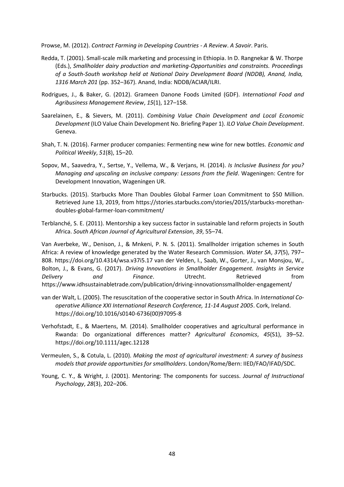Prowse, M. (2012). *Contract Farming in Developing Countries - A Review*. *A Savoir*. Paris.

- Redda, T. (2001). Small-scale milk marketing and processing in Ethiopia. In D. Rangnekar & W. Thorpe (Eds.), *Smallholder dairy production and marketing-Opportunities and constraints. Proceedings of a South-South workshop held at National Dairy Development Board (NDDB), Anand, India, 1316 March 201* (pp. 352–367). Anand, India: NDDB/ACIAR/ILRI.
- Rodrigues, J., & Baker, G. (2012). Grameen Danone Foods Limited (GDF). *International Food and Agribusiness Management Review*, *15*(1), 127–158.
- Saarelainen, E., & Sievers, M. (2011). *Combining Value Chain Development and Local Economic Development* (ILO Value Chain Development No. Briefing Paper 1). *ILO Value Chain Development*. Geneva.
- Shah, T. N. (2016). Farmer producer companies: Fermenting new wine for new bottles. *Economic and Political Weekly*, *51*(8), 15–20.
- Sopov, M., Saavedra, Y., Sertse, Y., Vellema, W., & Verjans, H. (2014). *Is Inclusive Business for you? Managing and upscaling an inclusive company: Lessons from the field*. Wageningen: Centre for Development Innovation, Wageningen UR.
- Starbucks. (2015). Starbucks More Than Doubles Global Farmer Loan Commitment to \$50 Million. Retrieved June 13, 2019, from https://stories.starbucks.com/stories/2015/starbucks-morethandoubles-global-farmer-loan-commitment/
- Terblanché, S. E. (2011). Mentorship a key success factor in sustainable land reform projects in South Africa. *South African Journal of Agricultural Extension*, *39*, 55–74.

Van Averbeke, W., Denison, J., & Mnkeni, P. N. S. (2011). Smallholder irrigation schemes in South Africa: A review of knowledge generated by the Water Research Commission. *Water SA*, *37*(5), 797– 808. https://doi.org/10.4314/wsa.v37i5.17 van der Velden, I., Saab, W., Gorter, J., van Monsjou, W., Bolton, J., & Evans, G. (2017). *Driving Innovations in Smallholder Engagement. Insights in Service Delivery and Finance*. Utrecht. Retrieved from https://www.idhsustainabletrade.com/publication/driving-innovationssmallholder-engagement/

- van der Walt, L. (2005). The resuscitation of the cooperative sector in South Africa. In *International Cooperative Alliance XXI International Research Conference, 11-14 August 2005*. Cork, Ireland. https://doi.org/10.1016/s0140-6736(00)97095-8
- Verhofstadt, E., & Maertens, M. (2014). Smallholder cooperatives and agricultural performance in Rwanda: Do organizational differences matter? *Agricultural Economics*, *45*(S1), 39–52. https://doi.org/10.1111/agec.12128
- Vermeulen, S., & Cotula, L. (2010). *Making the most of agricultural investment: A survey of business models that provide opportunities for smallholders*. London/Rome/Bern: IIED/FAO/IFAD/SDC.
- Young, C. Y., & Wright, J. (2001). Mentoring: The components for success. *Journal of Instructional Psychology*, *28*(3), 202–206.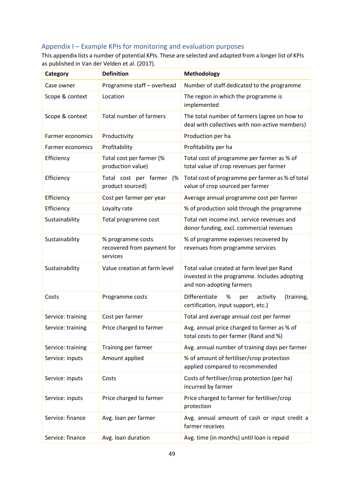## <span id="page-49-0"></span>Appendix I – Example KPIs for monitoring and evaluation purposes

This appendix lists a number of potential KPIs. These are selected and adapted from a longer list of KPIs as published in Van der Velden et al. (2017).

| Category          | <b>Definition</b>                                           | Methodology                                                                                                            |
|-------------------|-------------------------------------------------------------|------------------------------------------------------------------------------------------------------------------------|
| Case owner        | Programme staff - overhead                                  | Number of staff dedicated to the programme                                                                             |
| Scope & context   | Location                                                    | The region in which the programme is<br>implemented                                                                    |
| Scope & context   | Total number of farmers                                     | The total number of farmers (agree on how to<br>deal with collectives with non-active members)                         |
| Farmer economics  | Productivity                                                | Production per ha                                                                                                      |
| Farmer economics  | Profitability                                               | Profitability per ha                                                                                                   |
| Efficiency        | Total cost per farmer (%<br>production value)               | Total cost of programme per farmer as % of<br>total value of crop revenues per farmer                                  |
| Efficiency        | Total cost per farmer<br>(%<br>product sourced)             | Total cost of programme per farmer as % of total<br>value of crop sourced per farmer                                   |
| Efficiency        | Cost per farmer per year                                    | Average annual programme cost per farmer                                                                               |
| Efficiency        | Loyalty rate                                                | % of production sold through the programme                                                                             |
| Sustainability    | Total programme cost                                        | Total net income incl. service revenues and<br>donor funding, excl. commercial revenues                                |
| Sustainability    | % programme costs<br>recovered from payment for<br>services | % of programme expenses recovered by<br>revenues from programme services                                               |
| Sustainability    | Value creation at farm level                                | Total value created at farm level per Rand<br>invested in the programme. Includes adopting<br>and non-adopting farmers |
| Costs             | Programme costs                                             | Differentiate<br>%<br>(training,<br>activity<br>per<br>certification, input support, etc.)                             |
| Service: training | Cost per farmer                                             | Total and average annual cost per farmer                                                                               |
| Service: training | Price charged to farmer                                     | Avg. annual price charged to farmer as % of<br>total costs to per farmer (Rand and %)                                  |
| Service: training | Training per farmer                                         | Avg. annual number of training days per farmer                                                                         |
| Service: inputs   | Amount applied                                              | % of amount of fertiliser/crop protection<br>applied compared to recommended                                           |
| Service: inputs   | Costs                                                       | Costs of fertiliser/crop protection (per ha)<br>incurred by farmer                                                     |
| Service: inputs   | Price charged to farmer                                     | Price charged to farmer for fertiliser/crop<br>protection                                                              |
| Service: finance  | Avg. loan per farmer                                        | Avg. annual amount of cash or input credit a<br>farmer receives                                                        |
| Service: finance  | Avg. Ioan duration                                          | Avg. time (in months) until loan is repaid                                                                             |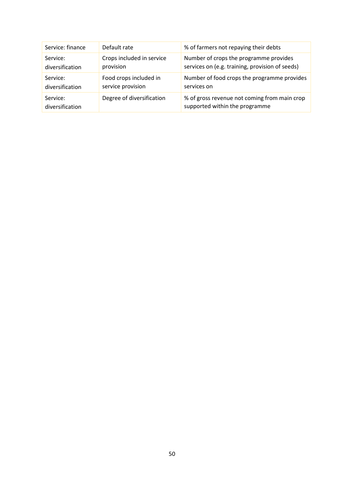| Service: finance            | Default rate              | % of farmers not repaying their debts                                          |
|-----------------------------|---------------------------|--------------------------------------------------------------------------------|
| Service:                    | Crops included in service | Number of crops the programme provides                                         |
| diversification             | provision                 | services on (e.g. training, provision of seeds)                                |
| Service:                    | Food crops included in    | Number of food crops the programme provides                                    |
| diversification             | service provision         | services on                                                                    |
| Service:<br>diversification | Degree of diversification | % of gross revenue not coming from main crop<br>supported within the programme |